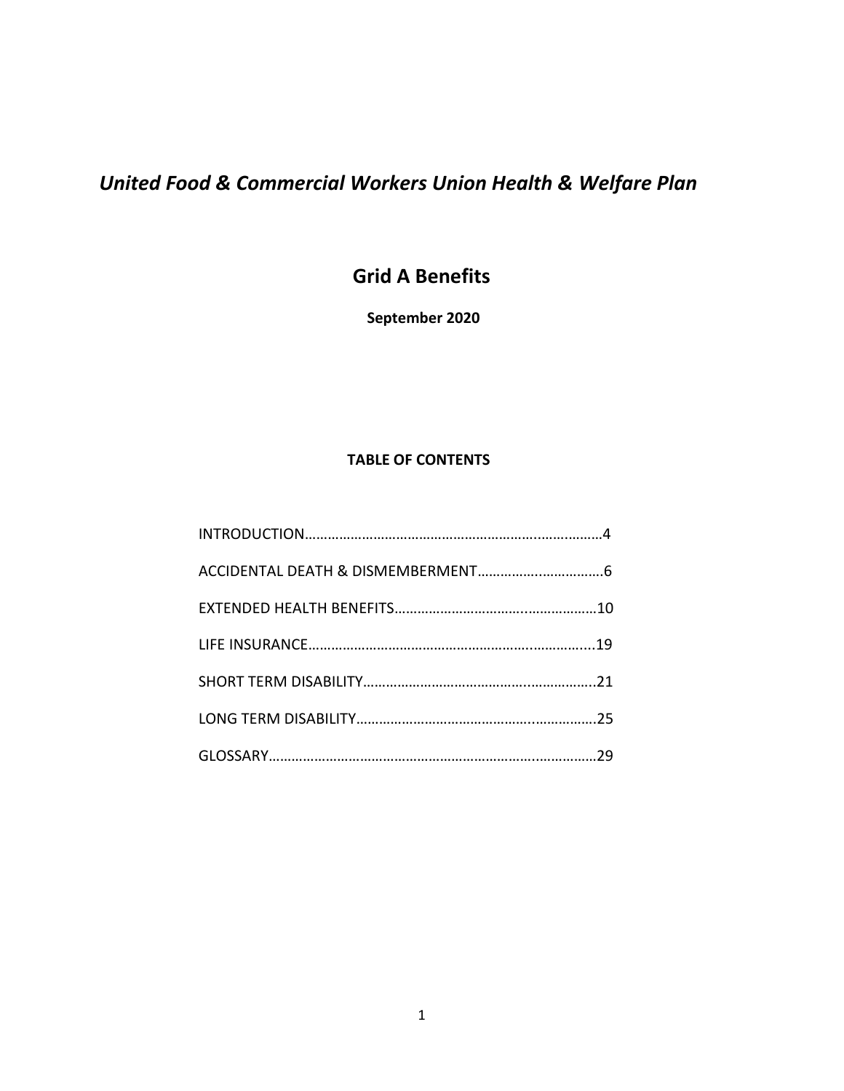# *United Food & Commercial Workers Union Health & Welfare Plan*

# **Grid A Benefits**

**September 2020**

# **TABLE OF CONTENTS**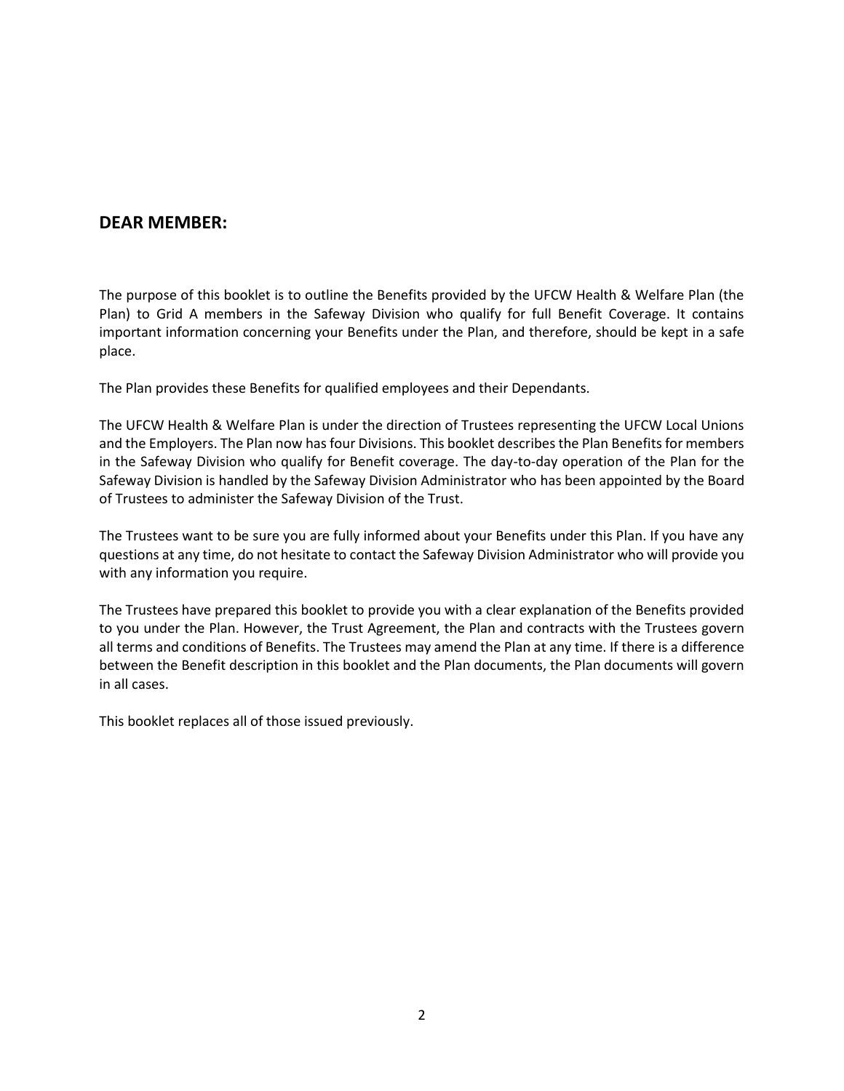# **DEAR MEMBER:**

The purpose of this booklet is to outline the Benefits provided by the UFCW Health & Welfare Plan (the Plan) to Grid A members in the Safeway Division who qualify for full Benefit Coverage. It contains important information concerning your Benefits under the Plan, and therefore, should be kept in a safe place.

The Plan provides these Benefits for qualified employees and their Dependants.

The UFCW Health & Welfare Plan is under the direction of Trustees representing the UFCW Local Unions and the Employers. The Plan now has four Divisions. This booklet describes the Plan Benefits for members in the Safeway Division who qualify for Benefit coverage. The day-to-day operation of the Plan for the Safeway Division is handled by the Safeway Division Administrator who has been appointed by the Board of Trustees to administer the Safeway Division of the Trust.

The Trustees want to be sure you are fully informed about your Benefits under this Plan. If you have any questions at any time, do not hesitate to contact the Safeway Division Administrator who will provide you with any information you require.

The Trustees have prepared this booklet to provide you with a clear explanation of the Benefits provided to you under the Plan. However, the Trust Agreement, the Plan and contracts with the Trustees govern all terms and conditions of Benefits. The Trustees may amend the Plan at any time. If there is a difference between the Benefit description in this booklet and the Plan documents, the Plan documents will govern in all cases.

This booklet replaces all of those issued previously.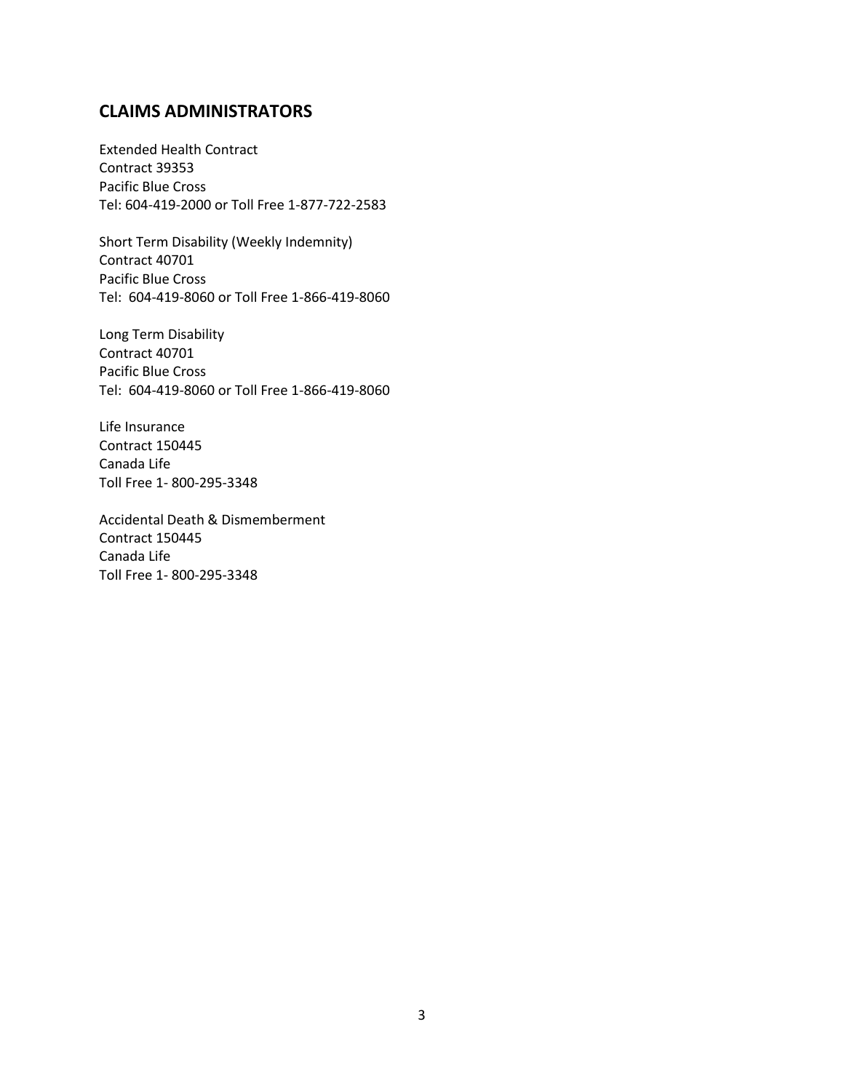# **CLAIMS ADMINISTRATORS**

Extended Health Contract Contract 39353 Pacific Blue Cross Tel: 604-419-2000 or Toll Free 1-877-722-2583

Short Term Disability (Weekly Indemnity) Contract 40701 Pacific Blue Cross Tel: 604-419-8060 or Toll Free 1-866-419-8060

Long Term Disability Contract 40701 Pacific Blue Cross Tel: 604-419-8060 or Toll Free 1-866-419-8060

Life Insurance Contract 150445 Canada Life Toll Free 1- 800-295-3348

Accidental Death & Dismemberment Contract 150445 Canada Life Toll Free 1- 800-295-3348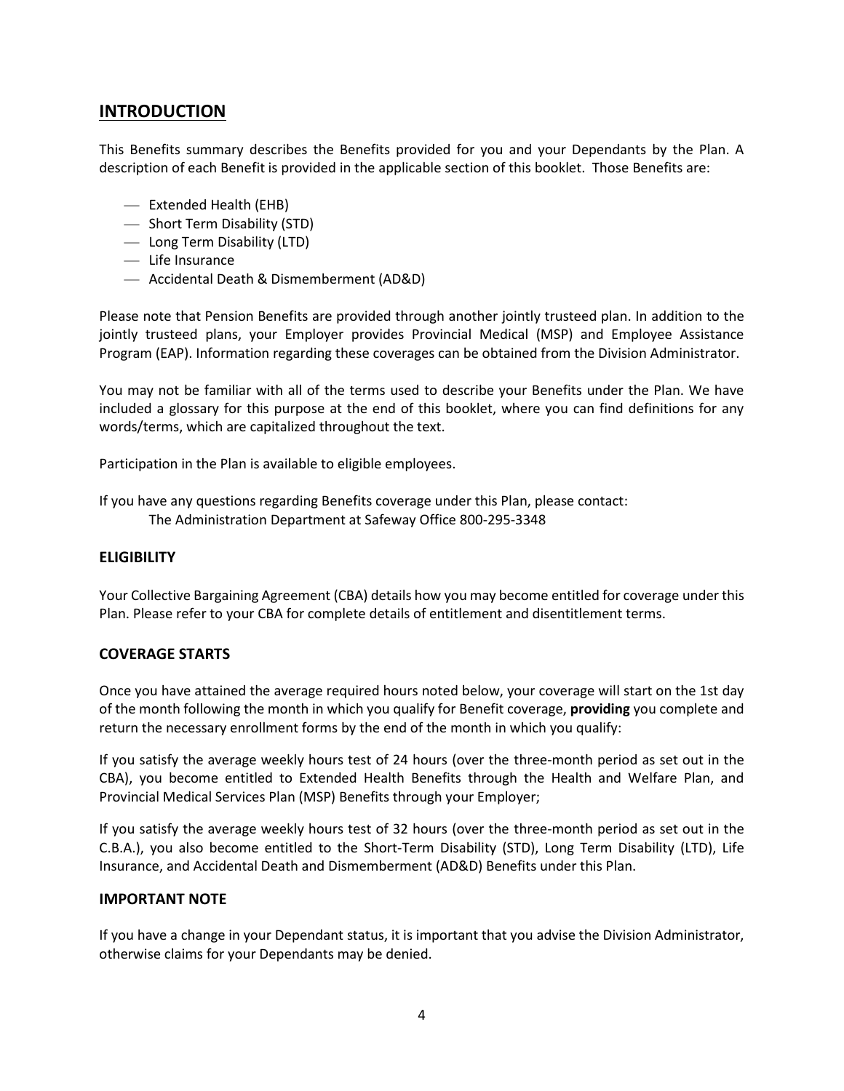# **INTRODUCTION**

This Benefits summary describes the Benefits provided for you and your Dependants by the Plan. A description of each Benefit is provided in the applicable section of this booklet. Those Benefits are:

- Extended Health (EHB)
- Short Term Disability (STD)
- Long Term Disability (LTD)
- Life Insurance
- Accidental Death & Dismemberment (AD&D)

Please note that Pension Benefits are provided through another jointly trusteed plan. In addition to the jointly trusteed plans, your Employer provides Provincial Medical (MSP) and Employee Assistance Program (EAP). Information regarding these coverages can be obtained from the Division Administrator.

You may not be familiar with all of the terms used to describe your Benefits under the Plan. We have included a glossary for this purpose at the end of this booklet, where you can find definitions for any words/terms, which are capitalized throughout the text.

Participation in the Plan is available to eligible employees.

If you have any questions regarding Benefits coverage under this Plan, please contact: The Administration Department at Safeway Office 800-295-3348

#### **ELIGIBILITY**

Your Collective Bargaining Agreement (CBA) details how you may become entitled for coverage under this Plan. Please refer to your CBA for complete details of entitlement and disentitlement terms.

#### **COVERAGE STARTS**

Once you have attained the average required hours noted below, your coverage will start on the 1st day of the month following the month in which you qualify for Benefit coverage, **providing** you complete and return the necessary enrollment forms by the end of the month in which you qualify:

If you satisfy the average weekly hours test of 24 hours (over the three-month period as set out in the CBA), you become entitled to Extended Health Benefits through the Health and Welfare Plan, and Provincial Medical Services Plan (MSP) Benefits through your Employer;

If you satisfy the average weekly hours test of 32 hours (over the three-month period as set out in the C.B.A.), you also become entitled to the Short-Term Disability (STD), Long Term Disability (LTD), Life Insurance, and Accidental Death and Dismemberment (AD&D) Benefits under this Plan.

#### **IMPORTANT NOTE**

If you have a change in your Dependant status, it is important that you advise the Division Administrator, otherwise claims for your Dependants may be denied.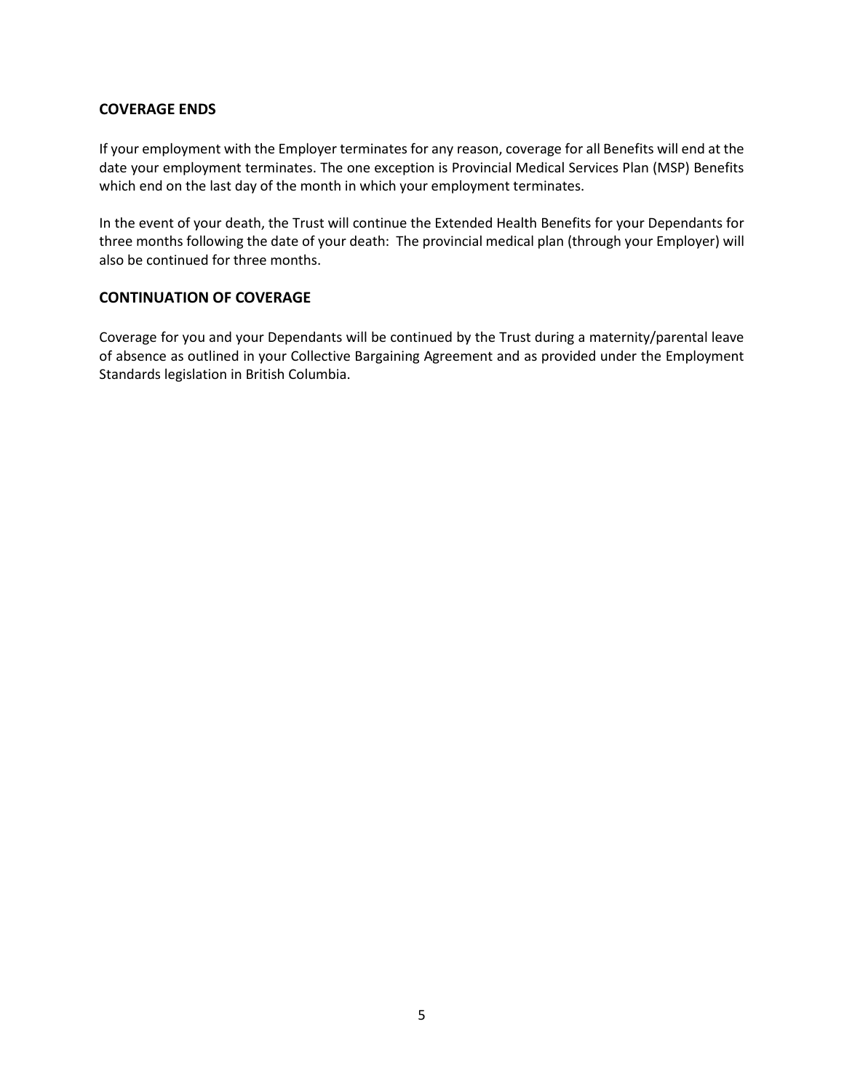#### **COVERAGE ENDS**

If your employment with the Employer terminates for any reason, coverage for all Benefits will end at the date your employment terminates. The one exception is Provincial Medical Services Plan (MSP) Benefits which end on the last day of the month in which your employment terminates.

In the event of your death, the Trust will continue the Extended Health Benefits for your Dependants for three months following the date of your death: The provincial medical plan (through your Employer) will also be continued for three months.

#### **CONTINUATION OF COVERAGE**

Coverage for you and your Dependants will be continued by the Trust during a maternity/parental leave of absence as outlined in your Collective Bargaining Agreement and as provided under the Employment Standards legislation in British Columbia.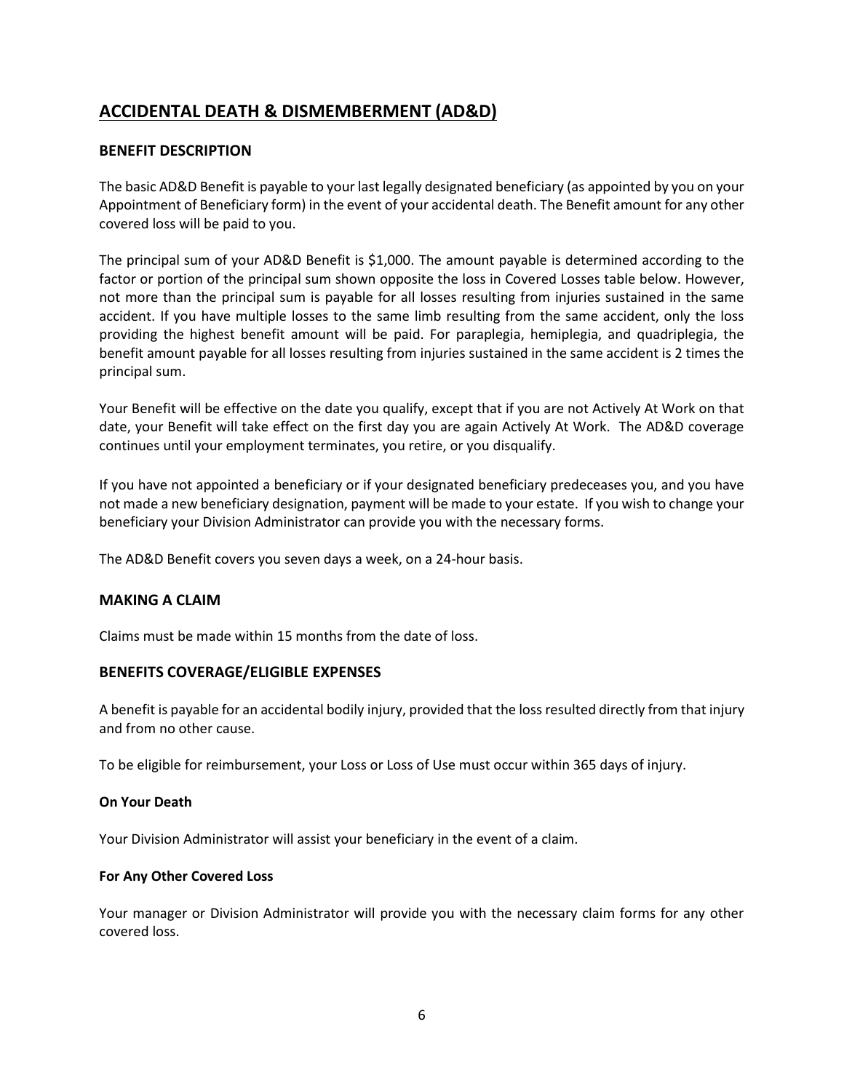# **ACCIDENTAL DEATH & DISMEMBERMENT (AD&D)**

# **BENEFIT DESCRIPTION**

The basic AD&D Benefit is payable to your last legally designated beneficiary (as appointed by you on your Appointment of Beneficiary form) in the event of your accidental death. The Benefit amount for any other covered loss will be paid to you.

The principal sum of your AD&D Benefit is \$1,000. The amount payable is determined according to the factor or portion of the principal sum shown opposite the loss in Covered Losses table below. However, not more than the principal sum is payable for all losses resulting from injuries sustained in the same accident. If you have multiple losses to the same limb resulting from the same accident, only the loss providing the highest benefit amount will be paid. For paraplegia, hemiplegia, and quadriplegia, the benefit amount payable for all losses resulting from injuries sustained in the same accident is 2 times the principal sum.

Your Benefit will be effective on the date you qualify, except that if you are not Actively At Work on that date, your Benefit will take effect on the first day you are again Actively At Work. The AD&D coverage continues until your employment terminates, you retire, or you disqualify.

If you have not appointed a beneficiary or if your designated beneficiary predeceases you, and you have not made a new beneficiary designation, payment will be made to your estate. If you wish to change your beneficiary your Division Administrator can provide you with the necessary forms.

The AD&D Benefit covers you seven days a week, on a 24-hour basis.

#### **MAKING A CLAIM**

Claims must be made within 15 months from the date of loss.

#### **BENEFITS COVERAGE/ELIGIBLE EXPENSES**

A benefit is payable for an accidental bodily injury, provided that the loss resulted directly from that injury and from no other cause.

To be eligible for reimbursement, your Loss or Loss of Use must occur within 365 days of injury.

#### **On Your Death**

Your Division Administrator will assist your beneficiary in the event of a claim.

#### **For Any Other Covered Loss**

Your manager or Division Administrator will provide you with the necessary claim forms for any other covered loss.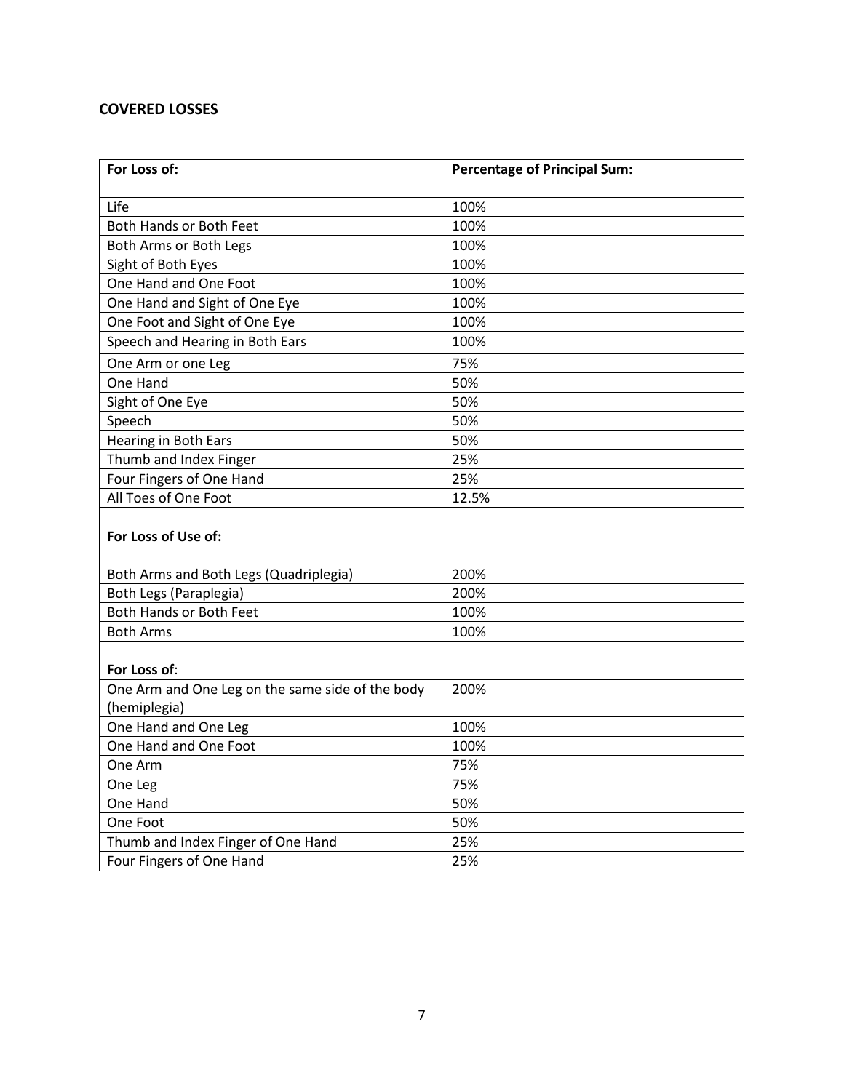# **COVERED LOSSES**

| For Loss of:                                     | <b>Percentage of Principal Sum:</b> |
|--------------------------------------------------|-------------------------------------|
| Life                                             | 100%                                |
| Both Hands or Both Feet                          | 100%                                |
| Both Arms or Both Legs                           | 100%                                |
| Sight of Both Eyes                               | 100%                                |
| One Hand and One Foot                            | 100%                                |
| One Hand and Sight of One Eye                    | 100%                                |
| One Foot and Sight of One Eye                    | 100%                                |
| Speech and Hearing in Both Ears                  | 100%                                |
| One Arm or one Leg                               | 75%                                 |
| One Hand                                         | 50%                                 |
| Sight of One Eye                                 | 50%                                 |
| Speech                                           | 50%                                 |
| Hearing in Both Ears                             | 50%                                 |
| Thumb and Index Finger                           | 25%                                 |
| Four Fingers of One Hand                         | 25%                                 |
| All Toes of One Foot                             | 12.5%                               |
|                                                  |                                     |
| For Loss of Use of:                              |                                     |
| Both Arms and Both Legs (Quadriplegia)           | 200%                                |
| Both Legs (Paraplegia)                           | 200%                                |
| Both Hands or Both Feet                          | 100%                                |
| <b>Both Arms</b>                                 | 100%                                |
|                                                  |                                     |
| For Loss of:                                     |                                     |
| One Arm and One Leg on the same side of the body | 200%                                |
| (hemiplegia)                                     |                                     |
| One Hand and One Leg                             | 100%                                |
| One Hand and One Foot                            | 100%                                |
| One Arm                                          | 75%                                 |
| One Leg                                          | 75%                                 |
| One Hand                                         | 50%                                 |
| One Foot                                         | 50%                                 |
| Thumb and Index Finger of One Hand               | 25%                                 |
| Four Fingers of One Hand                         | 25%                                 |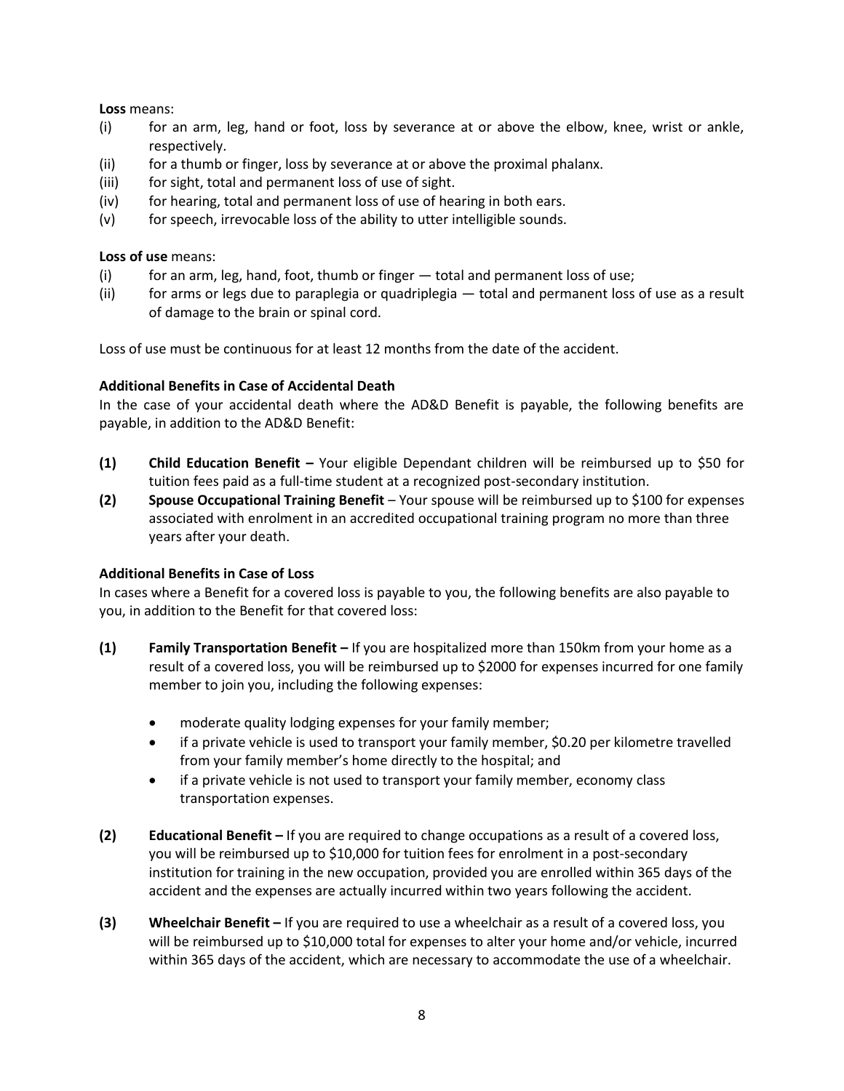#### **Loss** means:

- (i) for an arm, leg, hand or foot, loss by severance at or above the elbow, knee, wrist or ankle, respectively.
- (ii) for a thumb or finger, loss by severance at or above the proximal phalanx.
- (iii) for sight, total and permanent loss of use of sight.
- (iv) for hearing, total and permanent loss of use of hearing in both ears.
- (v) for speech, irrevocable loss of the ability to utter intelligible sounds.

#### **Loss of use** means:

- $(i)$  for an arm, leg, hand, foot, thumb or finger  $-$  total and permanent loss of use;
- (ii) for arms or legs due to paraplegia or quadriplegia total and permanent loss of use as a result of damage to the brain or spinal cord.

Loss of use must be continuous for at least 12 months from the date of the accident.

#### **Additional Benefits in Case of Accidental Death**

In the case of your accidental death where the AD&D Benefit is payable, the following benefits are payable, in addition to the AD&D Benefit:

- **(1) Child Education Benefit –** Your eligible Dependant children will be reimbursed up to \$50 for tuition fees paid as a full-time student at a recognized post-secondary institution.
- **(2) Spouse Occupational Training Benefit**  Your spouse will be reimbursed up to \$100 for expenses associated with enrolment in an accredited occupational training program no more than three years after your death.

#### **Additional Benefits in Case of Loss**

In cases where a Benefit for a covered loss is payable to you, the following benefits are also payable to you, in addition to the Benefit for that covered loss:

- **(1) Family Transportation Benefit –** If you are hospitalized more than 150km from your home as a result of a covered loss, you will be reimbursed up to \$2000 for expenses incurred for one family member to join you, including the following expenses:
	- moderate quality lodging expenses for your family member;
	- if a private vehicle is used to transport your family member, \$0.20 per kilometre travelled from your family member's home directly to the hospital; and
	- if a private vehicle is not used to transport your family member, economy class transportation expenses.
- **(2) Educational Benefit –** If you are required to change occupations as a result of a covered loss, you will be reimbursed up to \$10,000 for tuition fees for enrolment in a post-secondary institution for training in the new occupation, provided you are enrolled within 365 days of the accident and the expenses are actually incurred within two years following the accident.
- **(3) Wheelchair Benefit –** If you are required to use a wheelchair as a result of a covered loss, you will be reimbursed up to \$10,000 total for expenses to alter your home and/or vehicle, incurred within 365 days of the accident, which are necessary to accommodate the use of a wheelchair.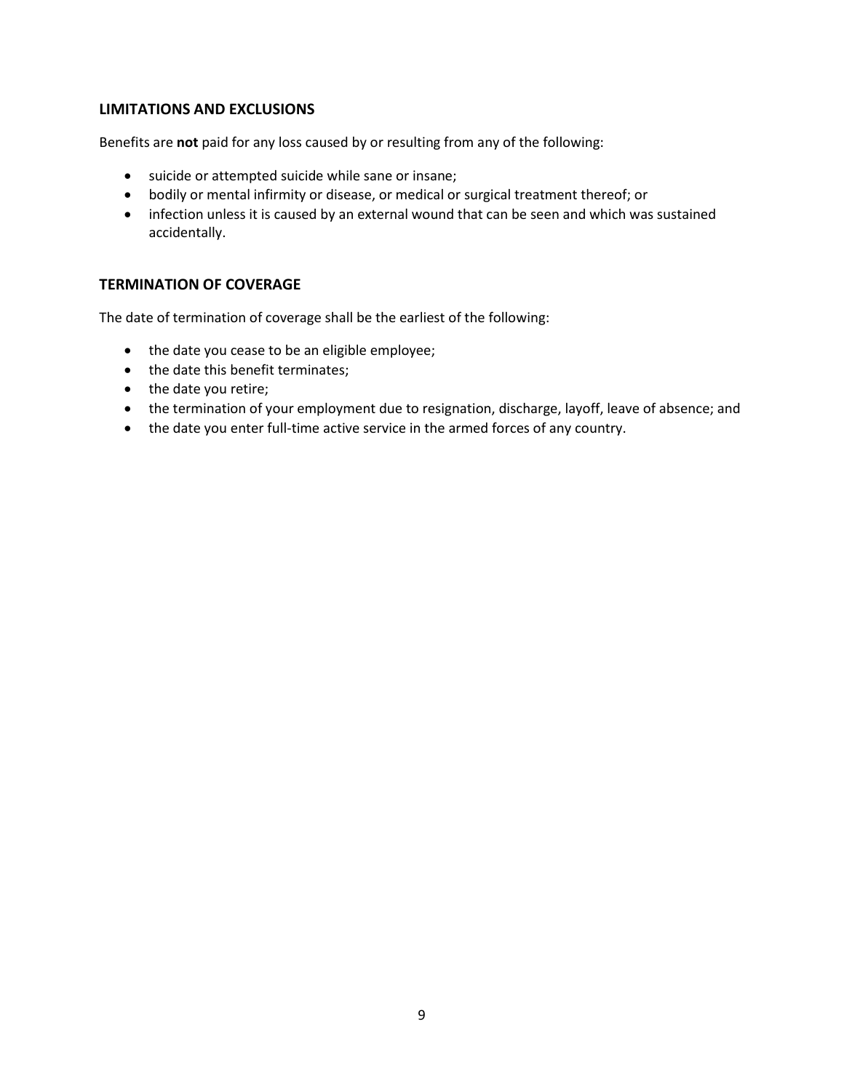# **LIMITATIONS AND EXCLUSIONS**

Benefits are **not** paid for any loss caused by or resulting from any of the following:

- suicide or attempted suicide while sane or insane;
- bodily or mental infirmity or disease, or medical or surgical treatment thereof; or
- infection unless it is caused by an external wound that can be seen and which was sustained accidentally.

### **TERMINATION OF COVERAGE**

The date of termination of coverage shall be the earliest of the following:

- the date you cease to be an eligible employee;
- the date this benefit terminates;
- the date you retire;
- the termination of your employment due to resignation, discharge, layoff, leave of absence; and
- the date you enter full-time active service in the armed forces of any country.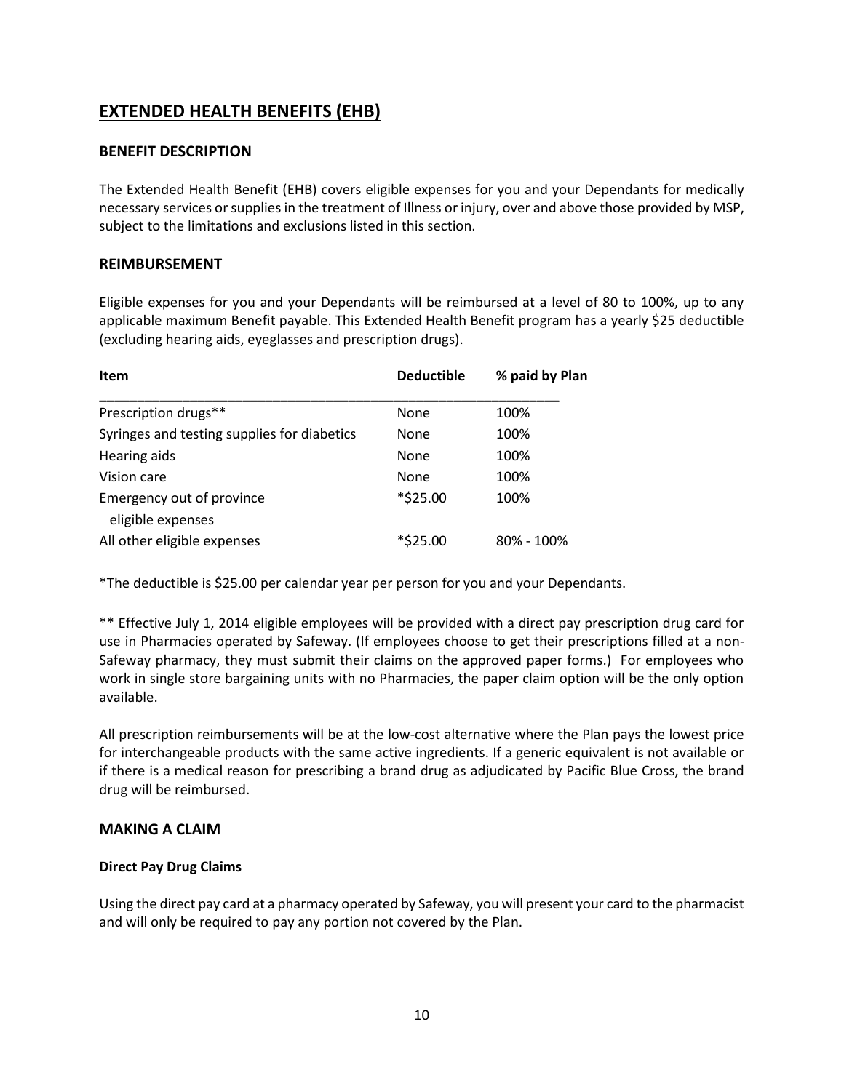# **EXTENDED HEALTH BENEFITS (EHB)**

# **BENEFIT DESCRIPTION**

The Extended Health Benefit (EHB) covers eligible expenses for you and your Dependants for medically necessary services or supplies in the treatment of Illness or injury, over and above those provided by MSP, subject to the limitations and exclusions listed in this section.

# **REIMBURSEMENT**

Eligible expenses for you and your Dependants will be reimbursed at a level of 80 to 100%, up to any applicable maximum Benefit payable. This Extended Health Benefit program has a yearly \$25 deductible (excluding hearing aids, eyeglasses and prescription drugs).

| Item                                           | <b>Deductible</b> | % paid by Plan |
|------------------------------------------------|-------------------|----------------|
| Prescription drugs**                           | None              | 100%           |
| Syringes and testing supplies for diabetics    | None              | 100%           |
| Hearing aids                                   | None              | 100%           |
| Vision care                                    | None              | 100%           |
| Emergency out of province<br>eligible expenses | *\$25.00          | 100%           |
| All other eligible expenses                    | *\$25.00          | 80% - 100%     |

\*The deductible is \$25.00 per calendar year per person for you and your Dependants.

\*\* Effective July 1, 2014 eligible employees will be provided with a direct pay prescription drug card for use in Pharmacies operated by Safeway. (If employees choose to get their prescriptions filled at a non-Safeway pharmacy, they must submit their claims on the approved paper forms.) For employees who work in single store bargaining units with no Pharmacies, the paper claim option will be the only option available.

All prescription reimbursements will be at the low-cost alternative where the Plan pays the lowest price for interchangeable products with the same active ingredients. If a generic equivalent is not available or if there is a medical reason for prescribing a brand drug as adjudicated by Pacific Blue Cross, the brand drug will be reimbursed.

# **MAKING A CLAIM**

#### **Direct Pay Drug Claims**

Using the direct pay card at a pharmacy operated by Safeway, you will present your card to the pharmacist and will only be required to pay any portion not covered by the Plan.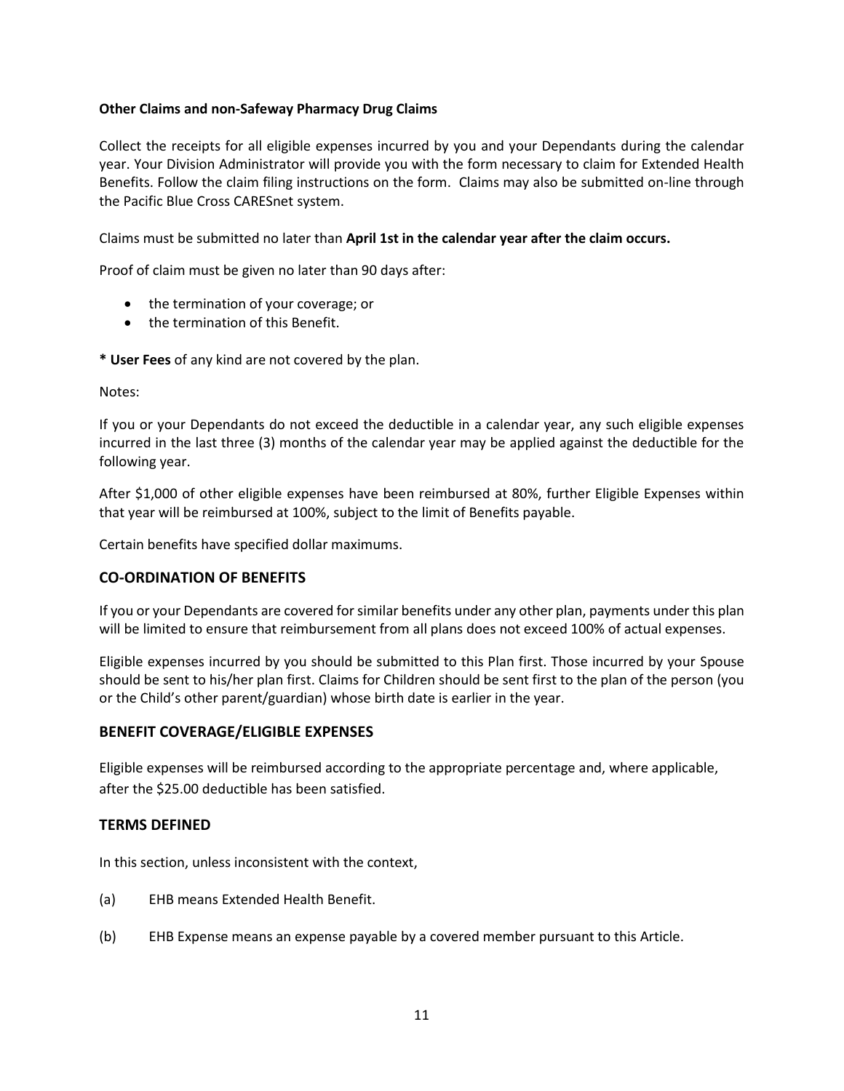#### **Other Claims and non-Safeway Pharmacy Drug Claims**

Collect the receipts for all eligible expenses incurred by you and your Dependants during the calendar year. Your Division Administrator will provide you with the form necessary to claim for Extended Health Benefits. Follow the claim filing instructions on the form. Claims may also be submitted on-line through the Pacific Blue Cross CARESnet system.

Claims must be submitted no later than **April 1st in the calendar year after the claim occurs.**

Proof of claim must be given no later than 90 days after:

- the termination of your coverage; or
- the termination of this Benefit.

**\* User Fees** of any kind are not covered by the plan.

Notes:

If you or your Dependants do not exceed the deductible in a calendar year, any such eligible expenses incurred in the last three (3) months of the calendar year may be applied against the deductible for the following year.

After \$1,000 of other eligible expenses have been reimbursed at 80%, further Eligible Expenses within that year will be reimbursed at 100%, subject to the limit of Benefits payable.

Certain benefits have specified dollar maximums.

#### **CO-ORDINATION OF BENEFITS**

If you or your Dependants are covered for similar benefits under any other plan, payments under this plan will be limited to ensure that reimbursement from all plans does not exceed 100% of actual expenses.

Eligible expenses incurred by you should be submitted to this Plan first. Those incurred by your Spouse should be sent to his/her plan first. Claims for Children should be sent first to the plan of the person (you or the Child's other parent/guardian) whose birth date is earlier in the year.

#### **BENEFIT COVERAGE/ELIGIBLE EXPENSES**

Eligible expenses will be reimbursed according to the appropriate percentage and, where applicable, after the \$25.00 deductible has been satisfied.

#### **TERMS DEFINED**

In this section, unless inconsistent with the context,

- (a) EHB means Extended Health Benefit.
- (b) EHB Expense means an expense payable by a covered member pursuant to this Article.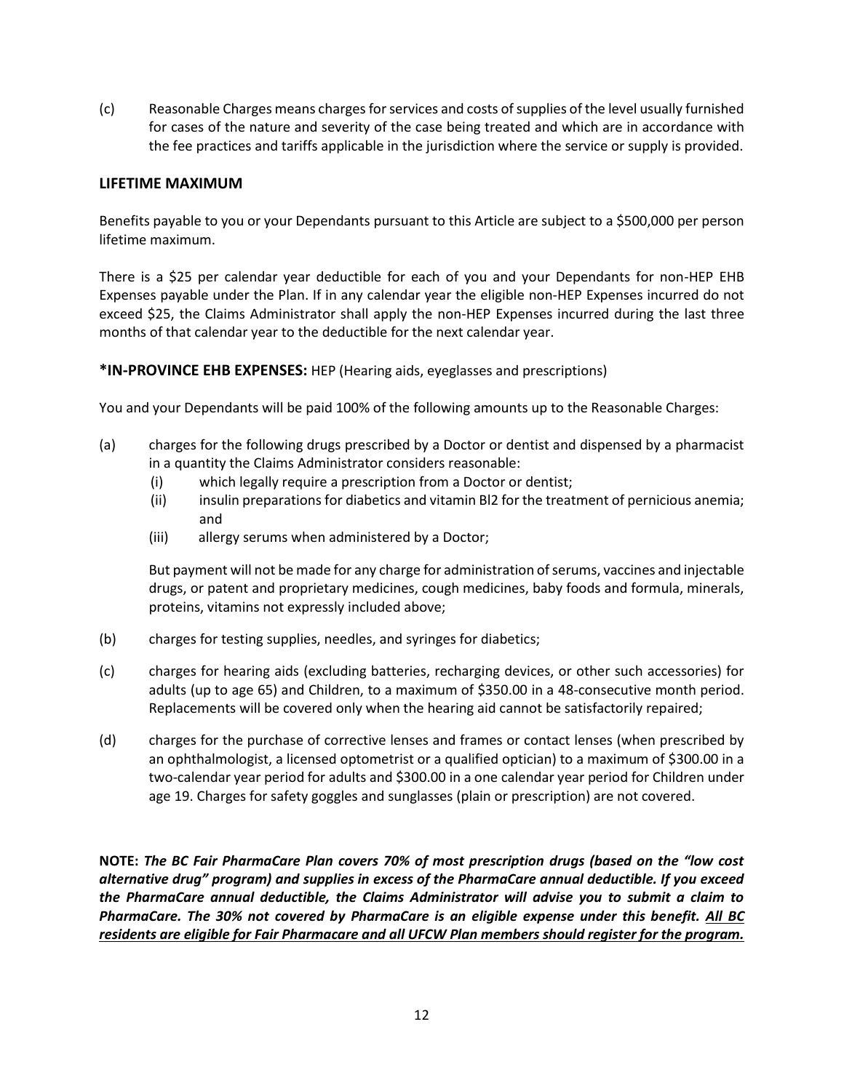(c) Reasonable Charges means charges for services and costs of supplies of the level usually furnished for cases of the nature and severity of the case being treated and which are in accordance with the fee practices and tariffs applicable in the jurisdiction where the service or supply is provided.

#### **LIFETIME MAXIMUM**

Benefits payable to you or your Dependants pursuant to this Article are subject to a \$500,000 per person lifetime maximum.

There is a \$25 per calendar year deductible for each of you and your Dependants for non-HEP EHB Expenses payable under the Plan. If in any calendar year the eligible non-HEP Expenses incurred do not exceed \$25, the Claims Administrator shall apply the non-HEP Expenses incurred during the last three months of that calendar year to the deductible for the next calendar year.

**\*IN-PROVINCE EHB EXPENSES:** HEP (Hearing aids, eyeglasses and prescriptions)

You and your Dependants will be paid 100% of the following amounts up to the Reasonable Charges:

- (a) charges for the following drugs prescribed by a Doctor or dentist and dispensed by a pharmacist in a quantity the Claims Administrator considers reasonable:
	- (i) which legally require a prescription from a Doctor or dentist;
	- (ii) insulin preparations for diabetics and vitamin Bl2 for the treatment of pernicious anemia; and
	- (iii) allergy serums when administered by a Doctor;

But payment will not be made for any charge for administration of serums, vaccines and injectable drugs, or patent and proprietary medicines, cough medicines, baby foods and formula, minerals, proteins, vitamins not expressly included above;

- (b) charges for testing supplies, needles, and syringes for diabetics;
- (c) charges for hearing aids (excluding batteries, recharging devices, or other such accessories) for adults (up to age 65) and Children, to a maximum of \$350.00 in a 48-consecutive month period. Replacements will be covered only when the hearing aid cannot be satisfactorily repaired;
- (d) charges for the purchase of corrective lenses and frames or contact lenses (when prescribed by an ophthalmologist, a licensed optometrist or a qualified optician) to a maximum of \$300.00 in a two-calendar year period for adults and \$300.00 in a one calendar year period for Children under age 19. Charges for safety goggles and sunglasses (plain or prescription) are not covered.

**NOTE:** *The BC Fair PharmaCare Plan covers 70% of most prescription drugs (based on the "low cost alternative drug" program) and supplies in excess of the PharmaCare annual deductible. If you exceed the PharmaCare annual deductible, the Claims Administrator will advise you to submit a claim to PharmaCare. The 30% not covered by PharmaCare is an eligible expense under this benefit. All BC residents are eligible for Fair Pharmacare and all UFCW Plan members should register for the program.*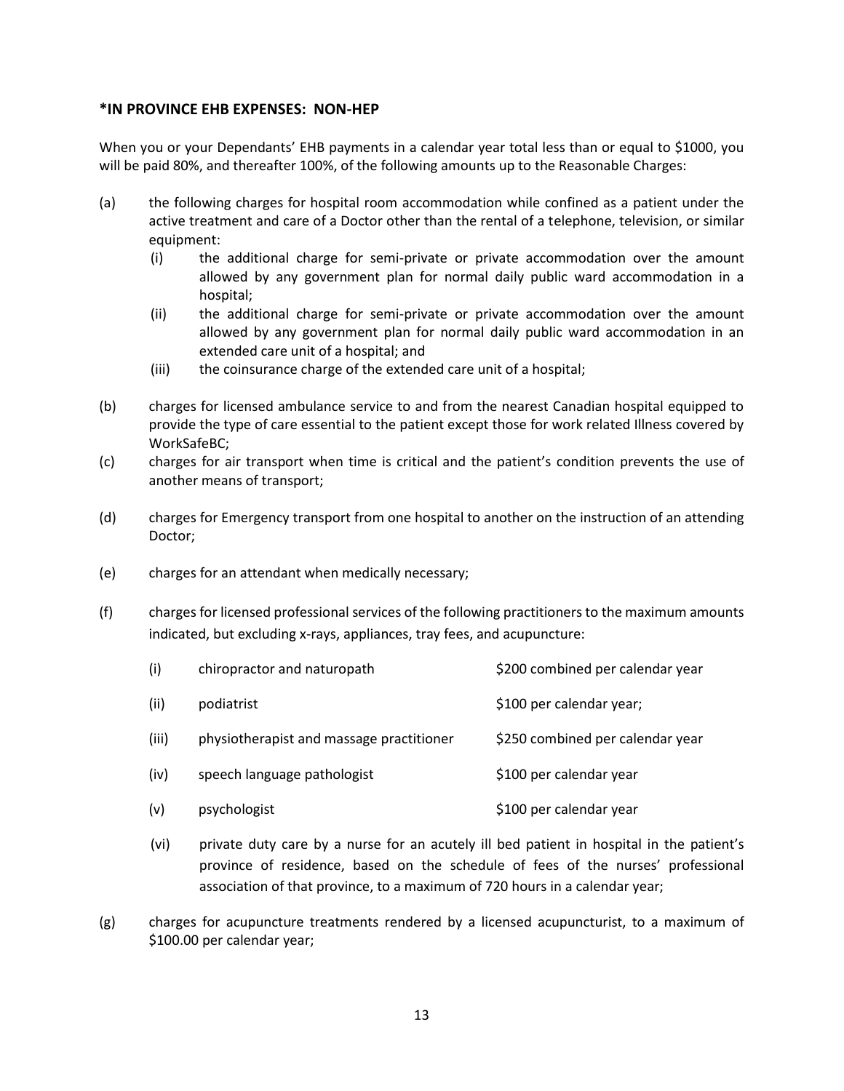#### **\*IN PROVINCE EHB EXPENSES: NON-HEP**

When you or your Dependants' EHB payments in a calendar year total less than or equal to \$1000, you will be paid 80%, and thereafter 100%, of the following amounts up to the Reasonable Charges:

- (a) the following charges for hospital room accommodation while confined as a patient under the active treatment and care of a Doctor other than the rental of a telephone, television, or similar equipment:
	- (i) the additional charge for semi-private or private accommodation over the amount allowed by any government plan for normal daily public ward accommodation in a hospital;
	- (ii) the additional charge for semi-private or private accommodation over the amount allowed by any government plan for normal daily public ward accommodation in an extended care unit of a hospital; and
	- (iii) the coinsurance charge of the extended care unit of a hospital;
- (b) charges for licensed ambulance service to and from the nearest Canadian hospital equipped to provide the type of care essential to the patient except those for work related Illness covered by WorkSafeBC;
- (c) charges for air transport when time is critical and the patient's condition prevents the use of another means of transport;
- (d) charges for Emergency transport from one hospital to another on the instruction of an attending Doctor;
- (e) charges for an attendant when medically necessary;
- (f) charges for licensed professional services of the following practitioners to the maximum amounts indicated, but excluding x-rays, appliances, tray fees, and acupuncture:

| (i)   | chiropractor and naturopath              | \$200 combined per calendar year |
|-------|------------------------------------------|----------------------------------|
| (ii)  | podiatrist                               | \$100 per calendar year;         |
| (iii) | physiotherapist and massage practitioner | \$250 combined per calendar year |
| (iv)  | speech language pathologist              | \$100 per calendar year          |
| (v)   | psychologist                             | \$100 per calendar year          |

- (vi) private duty care by a nurse for an acutely ill bed patient in hospital in the patient's province of residence, based on the schedule of fees of the nurses' professional association of that province, to a maximum of 720 hours in a calendar year;
- (g) charges for acupuncture treatments rendered by a licensed acupuncturist, to a maximum of \$100.00 per calendar year;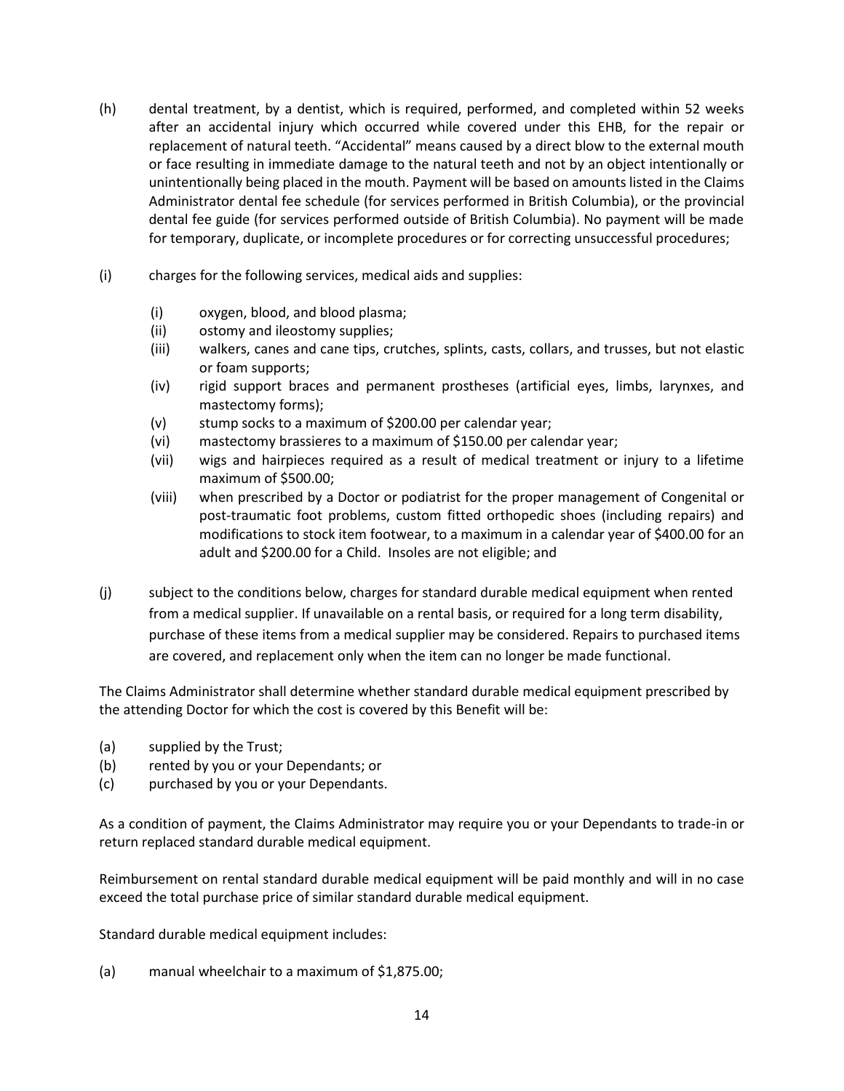- (h) dental treatment, by a dentist, which is required, performed, and completed within 52 weeks after an accidental injury which occurred while covered under this EHB, for the repair or replacement of natural teeth. "Accidental" means caused by a direct blow to the external mouth or face resulting in immediate damage to the natural teeth and not by an object intentionally or unintentionally being placed in the mouth. Payment will be based on amounts listed in the Claims Administrator dental fee schedule (for services performed in British Columbia), or the provincial dental fee guide (for services performed outside of British Columbia). No payment will be made for temporary, duplicate, or incomplete procedures or for correcting unsuccessful procedures;
- (i) charges for the following services, medical aids and supplies:
	- (i) oxygen, blood, and blood plasma;
	- (ii) ostomy and ileostomy supplies;
	- (iii) walkers, canes and cane tips, crutches, splints, casts, collars, and trusses, but not elastic or foam supports;
	- (iv) rigid support braces and permanent prostheses (artificial eyes, limbs, larynxes, and mastectomy forms);
	- (v) stump socks to a maximum of \$200.00 per calendar year;
	- (vi) mastectomy brassieres to a maximum of \$150.00 per calendar year;
	- (vii) wigs and hairpieces required as a result of medical treatment or injury to a lifetime maximum of \$500.00;
	- (viii) when prescribed by a Doctor or podiatrist for the proper management of Congenital or post-traumatic foot problems, custom fitted orthopedic shoes (including repairs) and modifications to stock item footwear, to a maximum in a calendar year of \$400.00 for an adult and \$200.00 for a Child. Insoles are not eligible; and
- (j) subject to the conditions below, charges for standard durable medical equipment when rented from a medical supplier. If unavailable on a rental basis, or required for a long term disability, purchase of these items from a medical supplier may be considered. Repairs to purchased items are covered, and replacement only when the item can no longer be made functional.

The Claims Administrator shall determine whether standard durable medical equipment prescribed by the attending Doctor for which the cost is covered by this Benefit will be:

- (a) supplied by the Trust;
- (b) rented by you or your Dependants; or
- (c) purchased by you or your Dependants.

As a condition of payment, the Claims Administrator may require you or your Dependants to trade-in or return replaced standard durable medical equipment.

Reimbursement on rental standard durable medical equipment will be paid monthly and will in no case exceed the total purchase price of similar standard durable medical equipment.

Standard durable medical equipment includes:

(a) manual wheelchair to a maximum of \$1,875.00;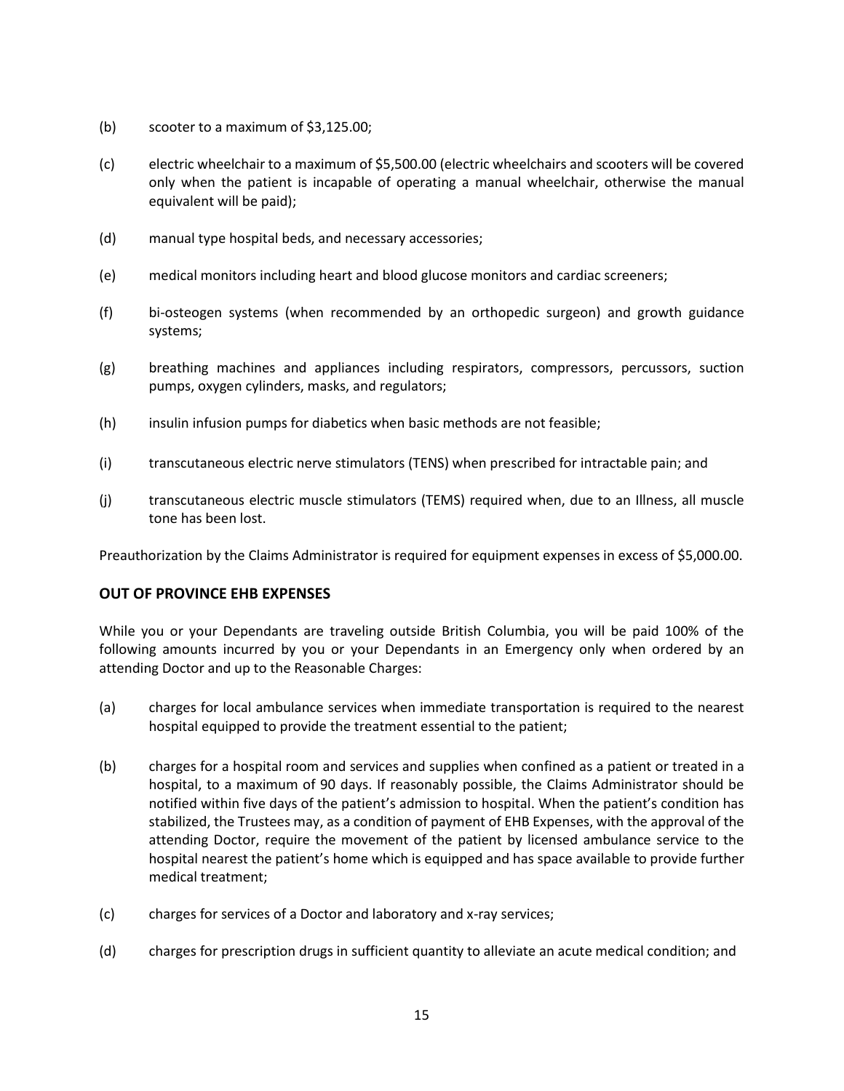- (b) scooter to a maximum of \$3,125.00;
- (c) electric wheelchair to a maximum of \$5,500.00 (electric wheelchairs and scooters will be covered only when the patient is incapable of operating a manual wheelchair, otherwise the manual equivalent will be paid);
- (d) manual type hospital beds, and necessary accessories;
- (e) medical monitors including heart and blood glucose monitors and cardiac screeners;
- (f) bi-osteogen systems (when recommended by an orthopedic surgeon) and growth guidance systems;
- (g) breathing machines and appliances including respirators, compressors, percussors, suction pumps, oxygen cylinders, masks, and regulators;
- (h) insulin infusion pumps for diabetics when basic methods are not feasible;
- (i) transcutaneous electric nerve stimulators (TENS) when prescribed for intractable pain; and
- (j) transcutaneous electric muscle stimulators (TEMS) required when, due to an Illness, all muscle tone has been lost.

Preauthorization by the Claims Administrator is required for equipment expenses in excess of \$5,000.00.

#### **OUT OF PROVINCE EHB EXPENSES**

While you or your Dependants are traveling outside British Columbia, you will be paid 100% of the following amounts incurred by you or your Dependants in an Emergency only when ordered by an attending Doctor and up to the Reasonable Charges:

- (a) charges for local ambulance services when immediate transportation is required to the nearest hospital equipped to provide the treatment essential to the patient;
- (b) charges for a hospital room and services and supplies when confined as a patient or treated in a hospital, to a maximum of 90 days. If reasonably possible, the Claims Administrator should be notified within five days of the patient's admission to hospital. When the patient's condition has stabilized, the Trustees may, as a condition of payment of EHB Expenses, with the approval of the attending Doctor, require the movement of the patient by licensed ambulance service to the hospital nearest the patient's home which is equipped and has space available to provide further medical treatment;
- (c) charges for services of a Doctor and laboratory and x-ray services;
- (d) charges for prescription drugs in sufficient quantity to alleviate an acute medical condition; and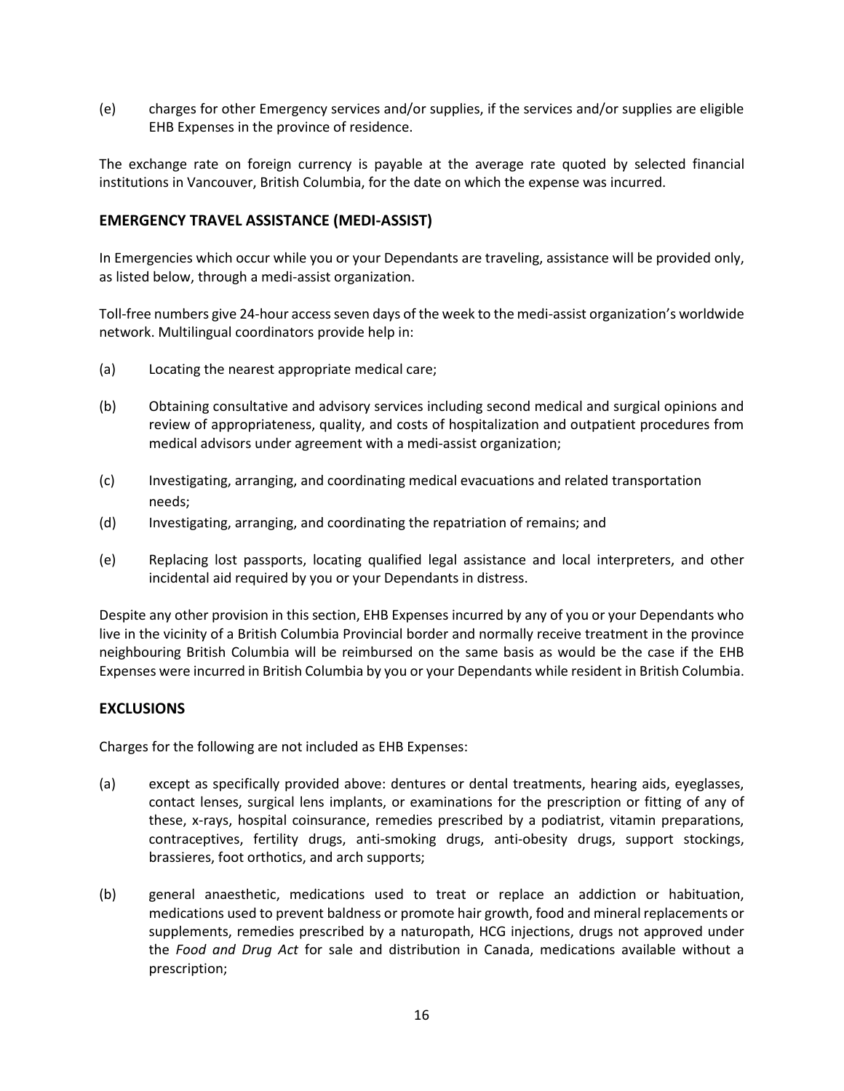(e) charges for other Emergency services and/or supplies, if the services and/or supplies are eligible EHB Expenses in the province of residence.

The exchange rate on foreign currency is payable at the average rate quoted by selected financial institutions in Vancouver, British Columbia, for the date on which the expense was incurred.

#### **EMERGENCY TRAVEL ASSISTANCE (MEDI-ASSIST)**

In Emergencies which occur while you or your Dependants are traveling, assistance will be provided only, as listed below, through a medi-assist organization.

Toll-free numbers give 24-hour access seven days of the week to the medi-assist organization's worldwide network. Multilingual coordinators provide help in:

- (a) Locating the nearest appropriate medical care;
- (b) Obtaining consultative and advisory services including second medical and surgical opinions and review of appropriateness, quality, and costs of hospitalization and outpatient procedures from medical advisors under agreement with a medi-assist organization;
- (c) Investigating, arranging, and coordinating medical evacuations and related transportation needs;
- (d) Investigating, arranging, and coordinating the repatriation of remains; and
- (e) Replacing lost passports, locating qualified legal assistance and local interpreters, and other incidental aid required by you or your Dependants in distress.

Despite any other provision in this section, EHB Expenses incurred by any of you or your Dependants who live in the vicinity of a British Columbia Provincial border and normally receive treatment in the province neighbouring British Columbia will be reimbursed on the same basis as would be the case if the EHB Expenses were incurred in British Columbia by you or your Dependants while resident in British Columbia.

#### **EXCLUSIONS**

Charges for the following are not included as EHB Expenses:

- (a) except as specifically provided above: dentures or dental treatments, hearing aids, eyeglasses, contact lenses, surgical lens implants, or examinations for the prescription or fitting of any of these, x-rays, hospital coinsurance, remedies prescribed by a podiatrist, vitamin preparations, contraceptives, fertility drugs, anti-smoking drugs, anti-obesity drugs, support stockings, brassieres, foot orthotics, and arch supports;
- (b) general anaesthetic, medications used to treat or replace an addiction or habituation, medications used to prevent baldness or promote hair growth, food and mineral replacements or supplements, remedies prescribed by a naturopath, HCG injections, drugs not approved under the *Food and Drug Act* for sale and distribution in Canada, medications available without a prescription;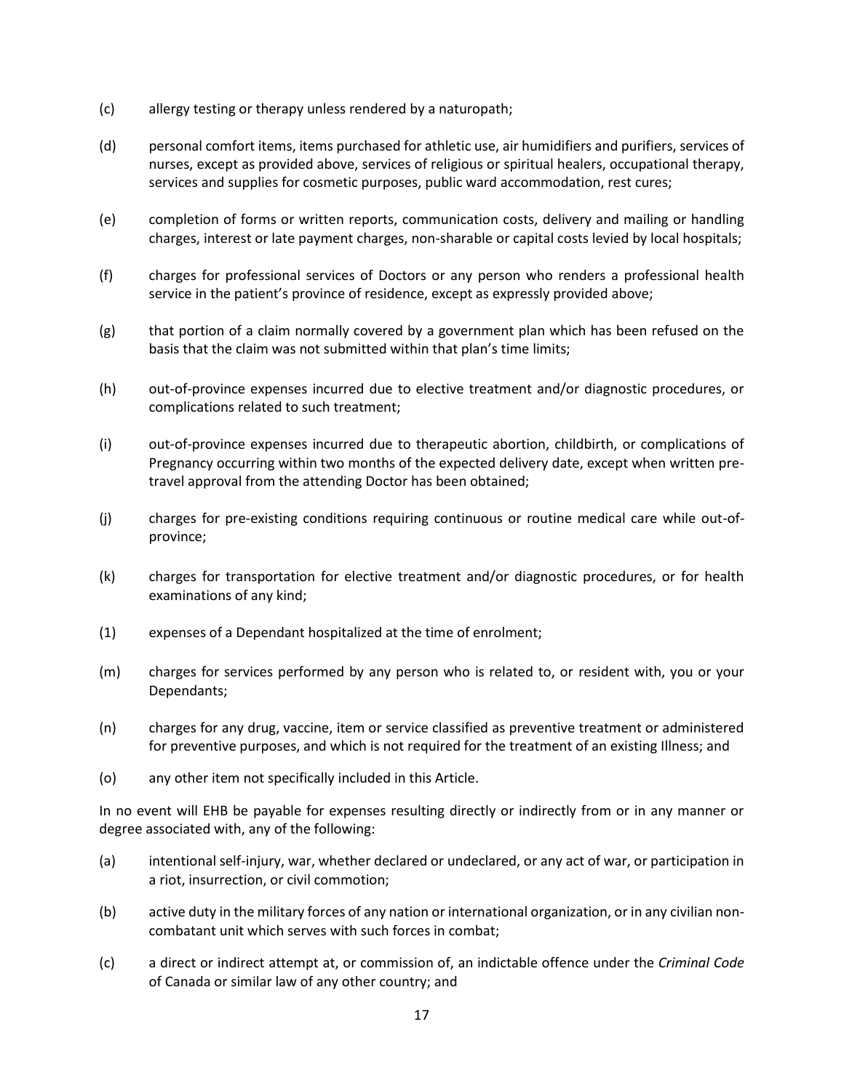- (c) allergy testing or therapy unless rendered by a naturopath;
- (d) personal comfort items, items purchased for athletic use, air humidifiers and purifiers, services of nurses, except as provided above, services of religious or spiritual healers, occupational therapy, services and supplies for cosmetic purposes, public ward accommodation, rest cures;
- (e) completion of forms or written reports, communication costs, delivery and mailing or handling charges, interest or late payment charges, non-sharable or capital costs levied by local hospitals;
- (f) charges for professional services of Doctors or any person who renders a professional health service in the patient's province of residence, except as expressly provided above;
- (g) that portion of a claim normally covered by a government plan which has been refused on the basis that the claim was not submitted within that plan's time limits;
- (h) out-of-province expenses incurred due to elective treatment and/or diagnostic procedures, or complications related to such treatment;
- (i) out-of-province expenses incurred due to therapeutic abortion, childbirth, or complications of Pregnancy occurring within two months of the expected delivery date, except when written pretravel approval from the attending Doctor has been obtained;
- (j) charges for pre-existing conditions requiring continuous or routine medical care while out-ofprovince;
- (k) charges for transportation for elective treatment and/or diagnostic procedures, or for health examinations of any kind;
- (1) expenses of a Dependant hospitalized at the time of enrolment;
- (m) charges for services performed by any person who is related to, or resident with, you or your Dependants;
- (n) charges for any drug, vaccine, item or service classified as preventive treatment or administered for preventive purposes, and which is not required for the treatment of an existing Illness; and
- (o) any other item not specifically included in this Article.

In no event will EHB be payable for expenses resulting directly or indirectly from or in any manner or degree associated with, any of the following:

- (a) intentional self-injury, war, whether declared or undeclared, or any act of war, or participation in a riot, insurrection, or civil commotion;
- (b) active duty in the military forces of any nation or international organization, or in any civilian noncombatant unit which serves with such forces in combat;
- (c) a direct or indirect attempt at, or commission of, an indictable offence under the *Criminal Code* of Canada or similar law of any other country; and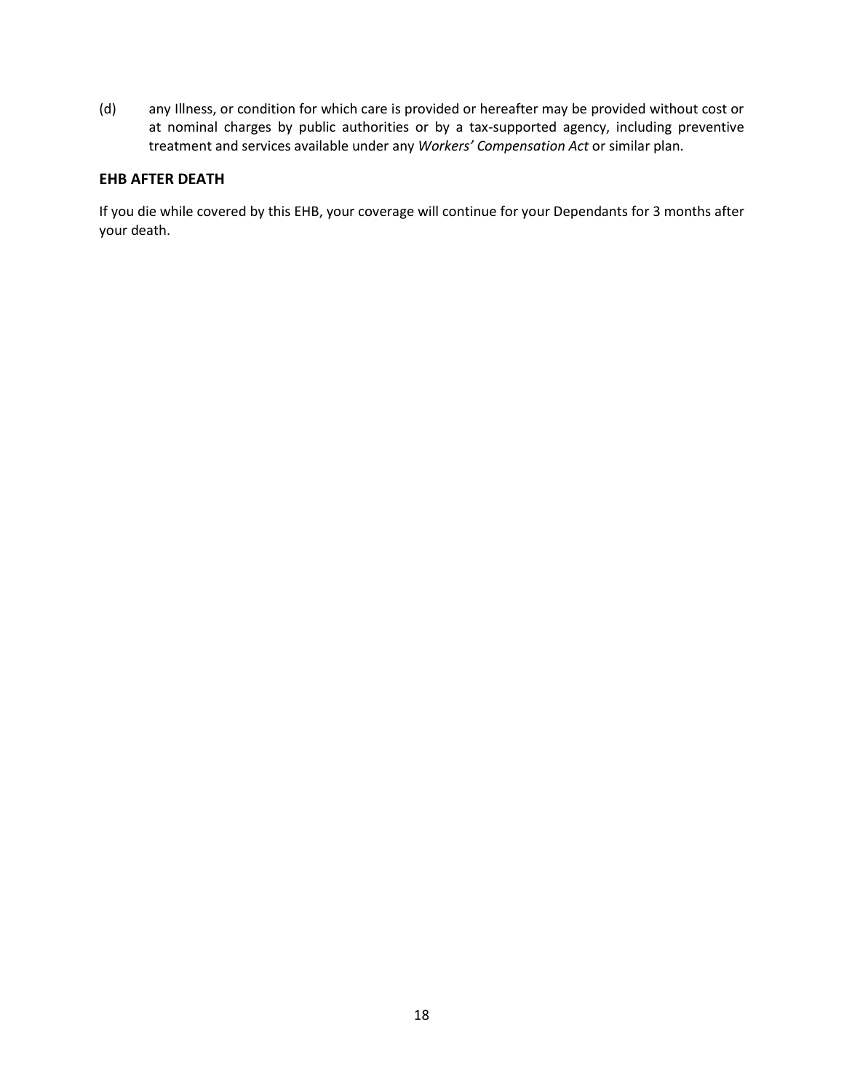(d) any Illness, or condition for which care is provided or hereafter may be provided without cost or at nominal charges by public authorities or by a tax-supported agency, including preventive treatment and services available under any *Workers' Compensation Act* or similar plan.

#### **EHB AFTER DEATH**

If you die while covered by this EHB, your coverage will continue for your Dependants for 3 months after your death.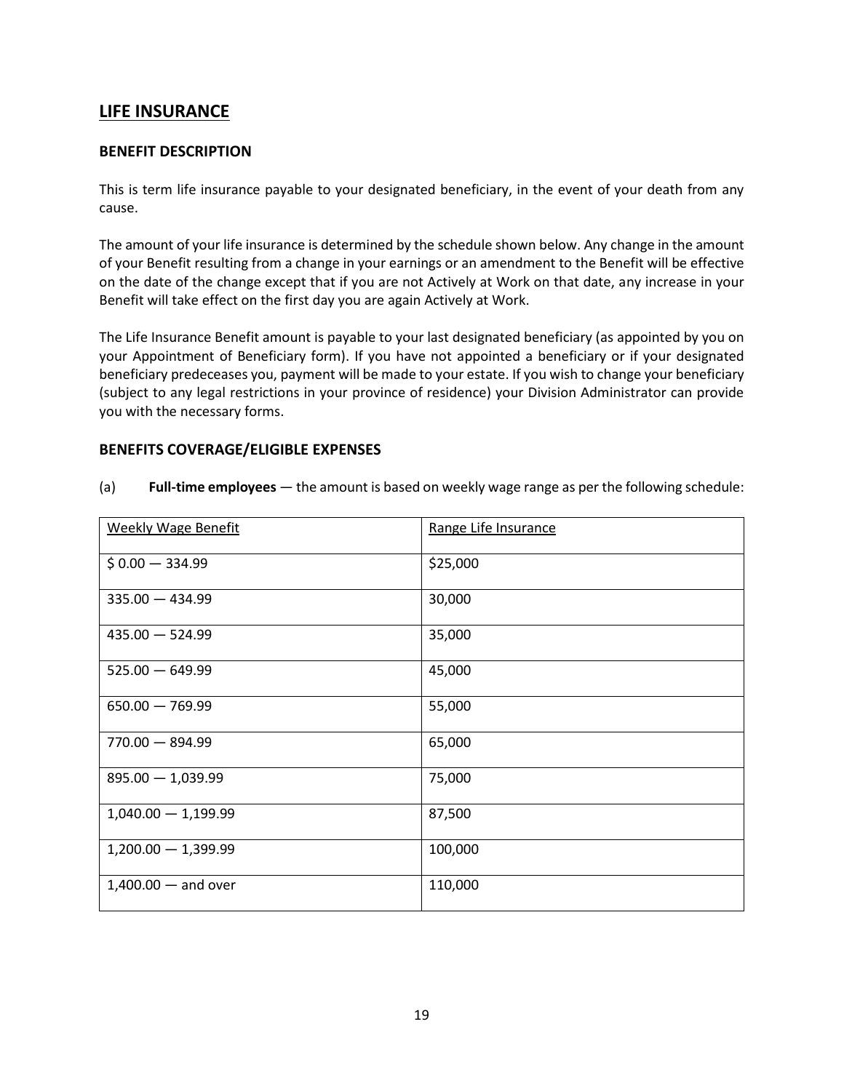# **LIFE INSURANCE**

#### **BENEFIT DESCRIPTION**

This is term life insurance payable to your designated beneficiary, in the event of your death from any cause.

The amount of your life insurance is determined by the schedule shown below. Any change in the amount of your Benefit resulting from a change in your earnings or an amendment to the Benefit will be effective on the date of the change except that if you are not Actively at Work on that date, any increase in your Benefit will take effect on the first day you are again Actively at Work.

The Life Insurance Benefit amount is payable to your last designated beneficiary (as appointed by you on your Appointment of Beneficiary form). If you have not appointed a beneficiary or if your designated beneficiary predeceases you, payment will be made to your estate. If you wish to change your beneficiary (subject to any legal restrictions in your province of residence) your Division Administrator can provide you with the necessary forms.

#### **BENEFITS COVERAGE/ELIGIBLE EXPENSES**

| <b>Weekly Wage Benefit</b> | Range Life Insurance |
|----------------------------|----------------------|
| $$0.00 - 334.99$           | \$25,000             |
| $335.00 - 434.99$          | 30,000               |
| $435.00 - 524.99$          | 35,000               |
| $525.00 - 649.99$          | 45,000               |
| $650.00 - 769.99$          | 55,000               |
| $770.00 - 894.99$          | 65,000               |
| $895.00 - 1,039.99$        | 75,000               |
| $1,040.00 - 1,199.99$      | 87,500               |
| $1,200.00 - 1,399.99$      | 100,000              |
| $1,400.00 -$ and over      | 110,000              |

(a) **Full-time employees** — the amount is based on weekly wage range as per the following schedule: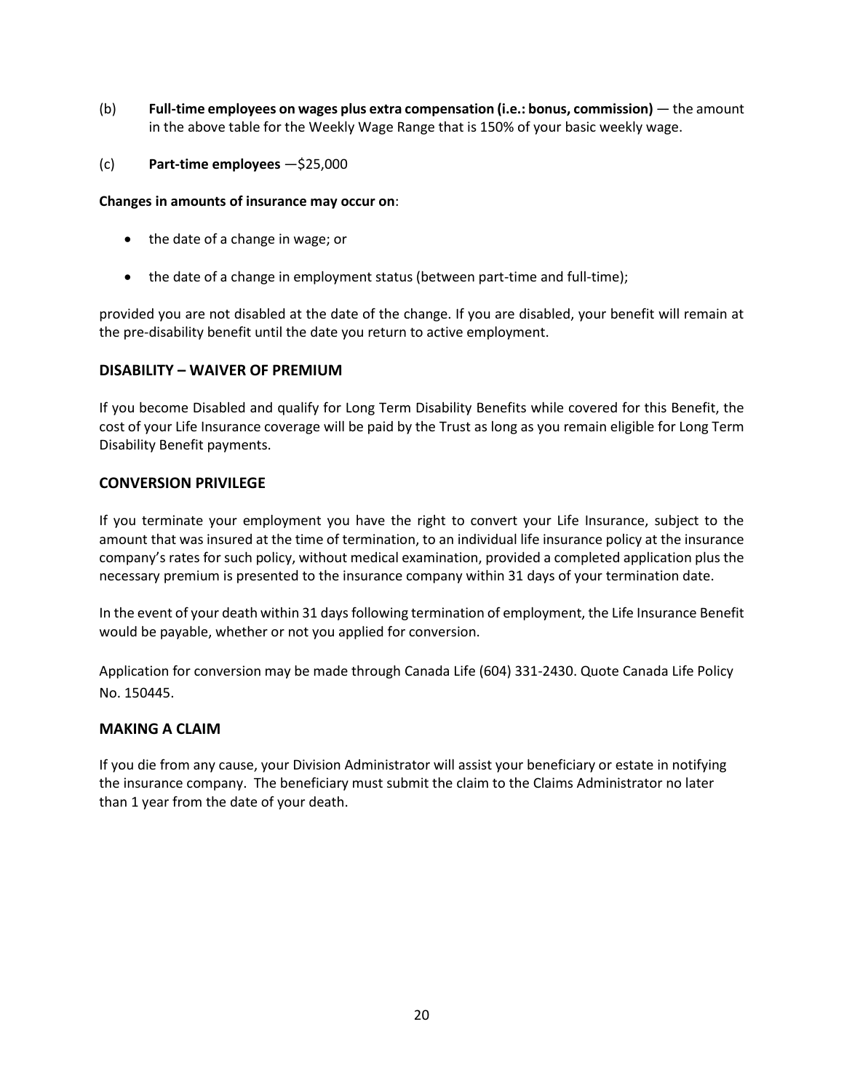- (b) **Full-time employees on wages plus extra compensation (i.e.: bonus, commission)** the amount in the above table for the Weekly Wage Range that is 150% of your basic weekly wage.
- (c) **Part-time employees** —\$25,000

#### **Changes in amounts of insurance may occur on**:

- the date of a change in wage; or
- the date of a change in employment status (between part-time and full-time);

provided you are not disabled at the date of the change. If you are disabled, your benefit will remain at the pre-disability benefit until the date you return to active employment.

#### **DISABILITY – WAIVER OF PREMIUM**

If you become Disabled and qualify for Long Term Disability Benefits while covered for this Benefit, the cost of your Life Insurance coverage will be paid by the Trust as long as you remain eligible for Long Term Disability Benefit payments.

#### **CONVERSION PRIVILEGE**

If you terminate your employment you have the right to convert your Life Insurance, subject to the amount that was insured at the time of termination, to an individual life insurance policy at the insurance company's rates for such policy, without medical examination, provided a completed application plus the necessary premium is presented to the insurance company within 31 days of your termination date.

In the event of your death within 31 days following termination of employment, the Life Insurance Benefit would be payable, whether or not you applied for conversion.

Application for conversion may be made through Canada Life (604) 331-2430. Quote Canada Life Policy No. 150445.

#### **MAKING A CLAIM**

If you die from any cause, your Division Administrator will assist your beneficiary or estate in notifying the insurance company. The beneficiary must submit the claim to the Claims Administrator no later than 1 year from the date of your death.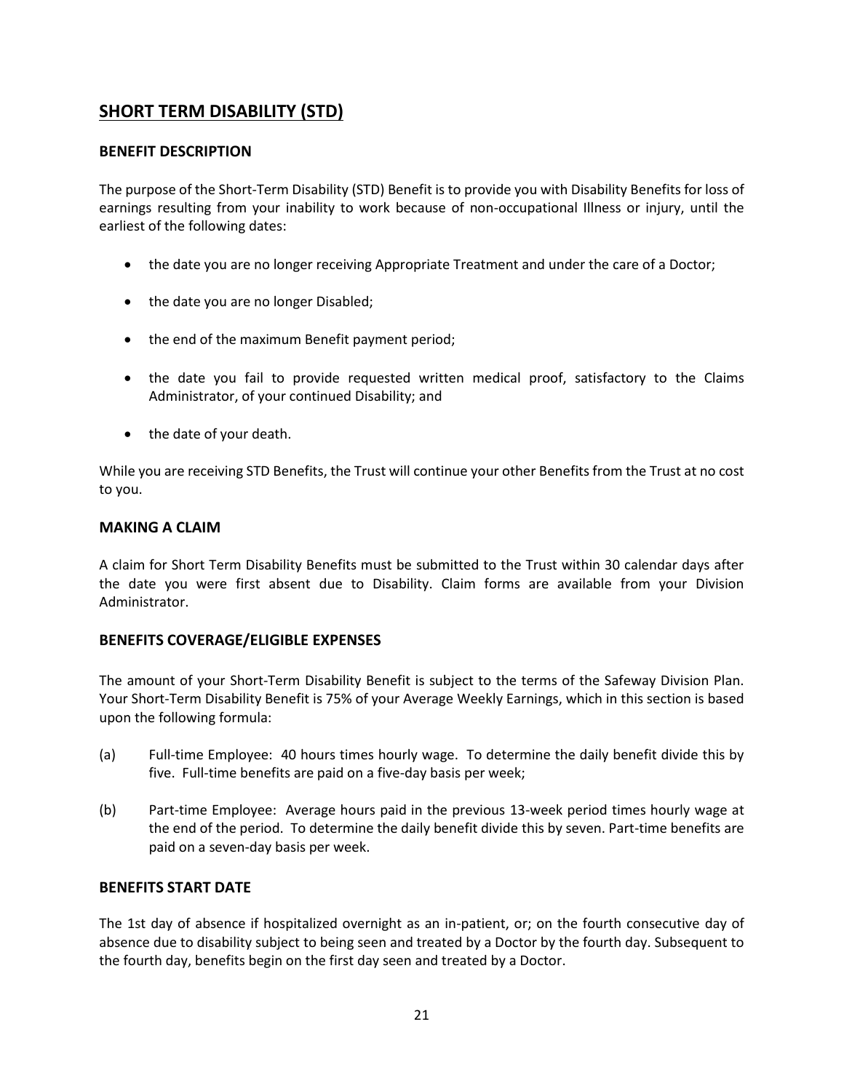# **SHORT TERM DISABILITY (STD)**

# **BENEFIT DESCRIPTION**

The purpose of the Short-Term Disability (STD) Benefit is to provide you with Disability Benefits for loss of earnings resulting from your inability to work because of non-occupational Illness or injury, until the earliest of the following dates:

- the date you are no longer receiving Appropriate Treatment and under the care of a Doctor;
- the date you are no longer Disabled;
- the end of the maximum Benefit payment period;
- the date you fail to provide requested written medical proof, satisfactory to the Claims Administrator, of your continued Disability; and
- the date of your death.

While you are receiving STD Benefits, the Trust will continue your other Benefits from the Trust at no cost to you.

#### **MAKING A CLAIM**

A claim for Short Term Disability Benefits must be submitted to the Trust within 30 calendar days after the date you were first absent due to Disability. Claim forms are available from your Division Administrator.

#### **BENEFITS COVERAGE/ELIGIBLE EXPENSES**

The amount of your Short-Term Disability Benefit is subject to the terms of the Safeway Division Plan. Your Short-Term Disability Benefit is 75% of your Average Weekly Earnings, which in this section is based upon the following formula:

- (a) Full-time Employee: 40 hours times hourly wage. To determine the daily benefit divide this by five. Full-time benefits are paid on a five-day basis per week;
- (b) Part-time Employee: Average hours paid in the previous 13-week period times hourly wage at the end of the period. To determine the daily benefit divide this by seven. Part-time benefits are paid on a seven-day basis per week.

#### **BENEFITS START DATE**

The 1st day of absence if hospitalized overnight as an in-patient, or; on the fourth consecutive day of absence due to disability subject to being seen and treated by a Doctor by the fourth day. Subsequent to the fourth day, benefits begin on the first day seen and treated by a Doctor.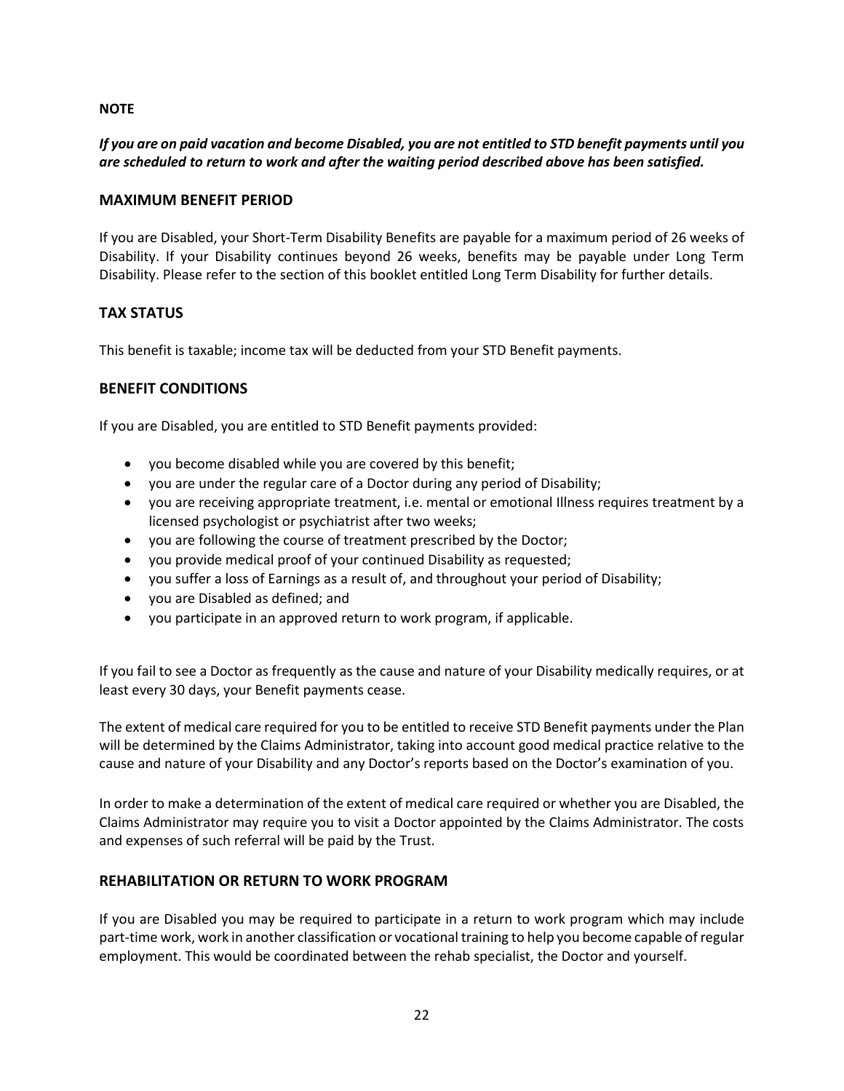#### **NOTE**

# *If you are on paid vacation and become Disabled, you are not entitled to STD benefit payments until you are scheduled to return to work and after the waiting period described above has been satisfied.*

#### **MAXIMUM BENEFIT PERIOD**

If you are Disabled, your Short-Term Disability Benefits are payable for a maximum period of 26 weeks of Disability. If your Disability continues beyond 26 weeks, benefits may be payable under Long Term Disability. Please refer to the section of this booklet entitled Long Term Disability for further details.

### **TAX STATUS**

This benefit is taxable; income tax will be deducted from your STD Benefit payments.

### **BENEFIT CONDITIONS**

If you are Disabled, you are entitled to STD Benefit payments provided:

- you become disabled while you are covered by this benefit;
- you are under the regular care of a Doctor during any period of Disability;
- you are receiving appropriate treatment, i.e. mental or emotional Illness requires treatment by a licensed psychologist or psychiatrist after two weeks;
- you are following the course of treatment prescribed by the Doctor;
- you provide medical proof of your continued Disability as requested;
- you suffer a loss of Earnings as a result of, and throughout your period of Disability;
- you are Disabled as defined; and
- you participate in an approved return to work program, if applicable.

If you fail to see a Doctor as frequently as the cause and nature of your Disability medically requires, or at least every 30 days, your Benefit payments cease.

The extent of medical care required for you to be entitled to receive STD Benefit payments under the Plan will be determined by the Claims Administrator, taking into account good medical practice relative to the cause and nature of your Disability and any Doctor's reports based on the Doctor's examination of you.

In order to make a determination of the extent of medical care required or whether you are Disabled, the Claims Administrator may require you to visit a Doctor appointed by the Claims Administrator. The costs and expenses of such referral will be paid by the Trust.

#### **REHABILITATION OR RETURN TO WORK PROGRAM**

If you are Disabled you may be required to participate in a return to work program which may include part-time work, work in another classification or vocational training to help you become capable of regular employment. This would be coordinated between the rehab specialist, the Doctor and yourself.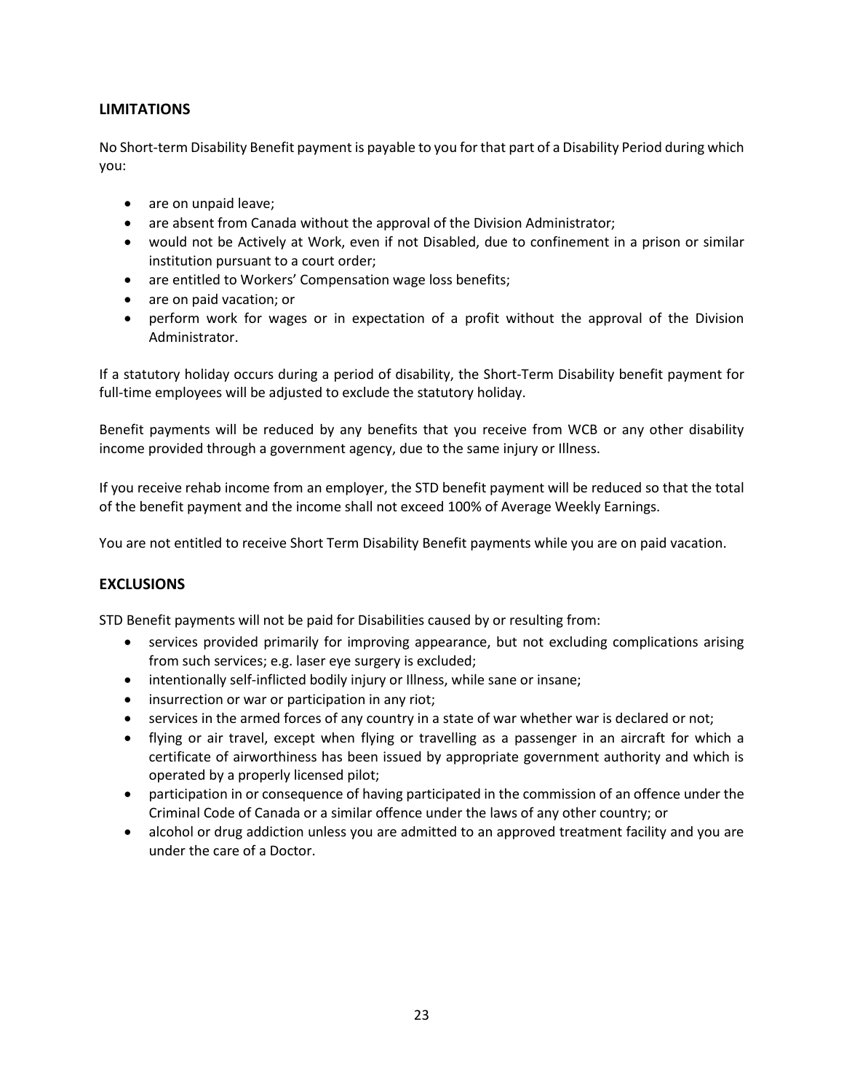# **LIMITATIONS**

No Short-term Disability Benefit payment is payable to you for that part of a Disability Period during which you:

- are on unpaid leave;
- are absent from Canada without the approval of the Division Administrator;
- would not be Actively at Work, even if not Disabled, due to confinement in a prison or similar institution pursuant to a court order;
- are entitled to Workers' Compensation wage loss benefits;
- are on paid vacation; or
- perform work for wages or in expectation of a profit without the approval of the Division Administrator.

If a statutory holiday occurs during a period of disability, the Short-Term Disability benefit payment for full-time employees will be adjusted to exclude the statutory holiday.

Benefit payments will be reduced by any benefits that you receive from WCB or any other disability income provided through a government agency, due to the same injury or Illness.

If you receive rehab income from an employer, the STD benefit payment will be reduced so that the total of the benefit payment and the income shall not exceed 100% of Average Weekly Earnings.

You are not entitled to receive Short Term Disability Benefit payments while you are on paid vacation.

#### **EXCLUSIONS**

STD Benefit payments will not be paid for Disabilities caused by or resulting from:

- services provided primarily for improving appearance, but not excluding complications arising from such services; e.g. laser eye surgery is excluded;
- intentionally self-inflicted bodily injury or Illness, while sane or insane;
- insurrection or war or participation in any riot;
- services in the armed forces of any country in a state of war whether war is declared or not;
- flying or air travel, except when flying or travelling as a passenger in an aircraft for which a certificate of airworthiness has been issued by appropriate government authority and which is operated by a properly licensed pilot;
- participation in or consequence of having participated in the commission of an offence under the Criminal Code of Canada or a similar offence under the laws of any other country; or
- alcohol or drug addiction unless you are admitted to an approved treatment facility and you are under the care of a Doctor.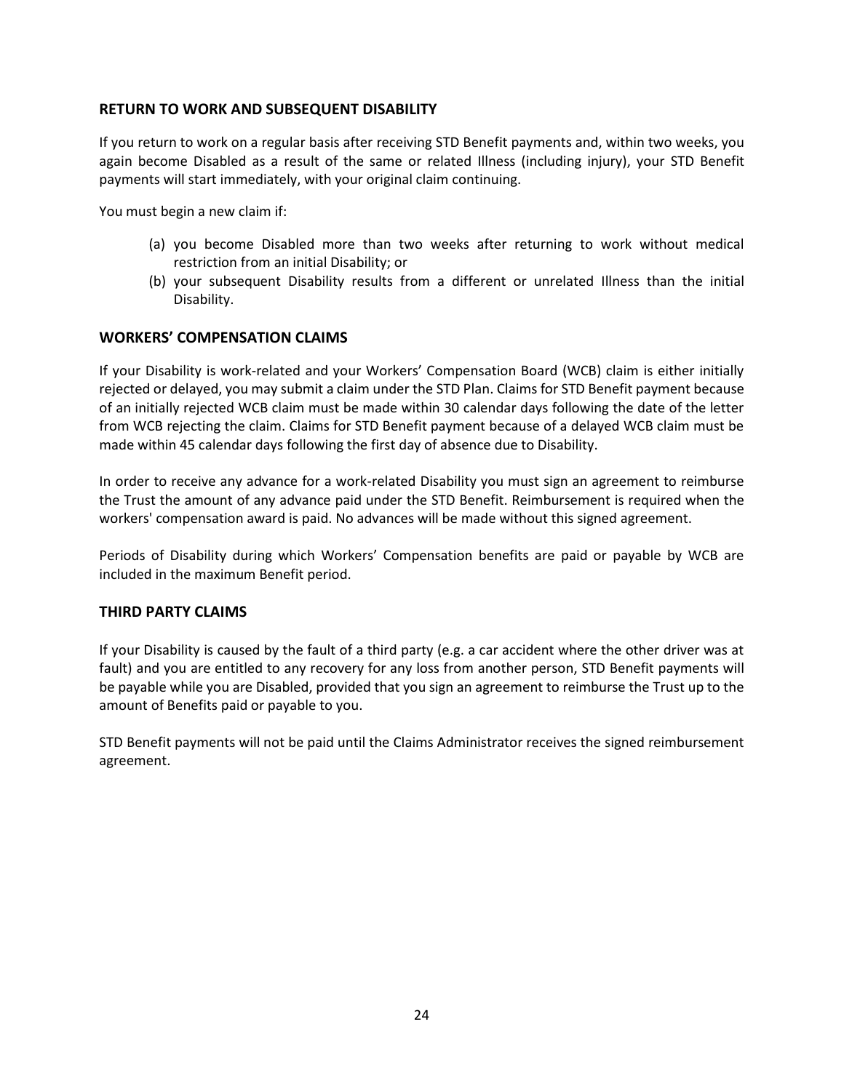# **RETURN TO WORK AND SUBSEQUENT DISABILITY**

If you return to work on a regular basis after receiving STD Benefit payments and, within two weeks, you again become Disabled as a result of the same or related Illness (including injury), your STD Benefit payments will start immediately, with your original claim continuing.

You must begin a new claim if:

- (a) you become Disabled more than two weeks after returning to work without medical restriction from an initial Disability; or
- (b) your subsequent Disability results from a different or unrelated Illness than the initial Disability.

#### **WORKERS' COMPENSATION CLAIMS**

If your Disability is work-related and your Workers' Compensation Board (WCB) claim is either initially rejected or delayed, you may submit a claim under the STD Plan. Claims for STD Benefit payment because of an initially rejected WCB claim must be made within 30 calendar days following the date of the letter from WCB rejecting the claim. Claims for STD Benefit payment because of a delayed WCB claim must be made within 45 calendar days following the first day of absence due to Disability.

In order to receive any advance for a work-related Disability you must sign an agreement to reimburse the Trust the amount of any advance paid under the STD Benefit. Reimbursement is required when the workers' compensation award is paid. No advances will be made without this signed agreement.

Periods of Disability during which Workers' Compensation benefits are paid or payable by WCB are included in the maximum Benefit period.

#### **THIRD PARTY CLAIMS**

If your Disability is caused by the fault of a third party (e.g. a car accident where the other driver was at fault) and you are entitled to any recovery for any loss from another person, STD Benefit payments will be payable while you are Disabled, provided that you sign an agreement to reimburse the Trust up to the amount of Benefits paid or payable to you.

STD Benefit payments will not be paid until the Claims Administrator receives the signed reimbursement agreement.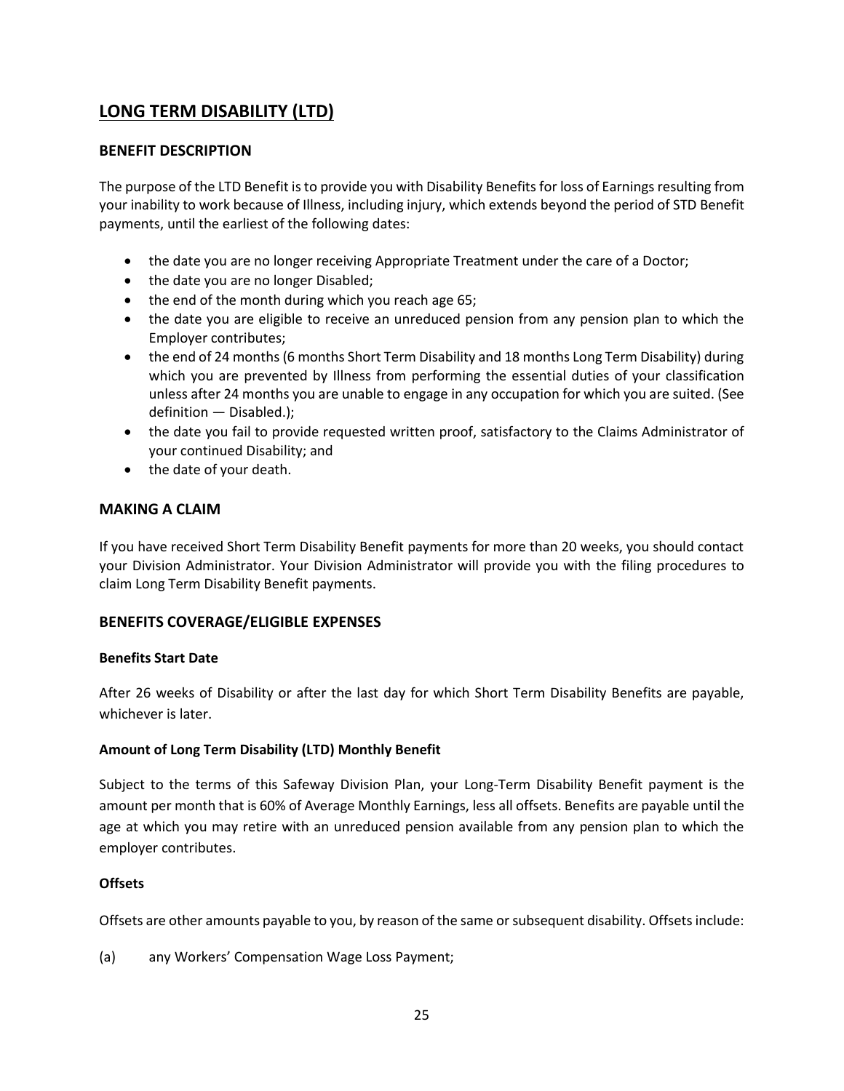# **LONG TERM DISABILITY (LTD)**

# **BENEFIT DESCRIPTION**

The purpose of the LTD Benefit is to provide you with Disability Benefits for loss of Earnings resulting from your inability to work because of Illness, including injury, which extends beyond the period of STD Benefit payments, until the earliest of the following dates:

- the date you are no longer receiving Appropriate Treatment under the care of a Doctor;
- the date you are no longer Disabled;
- the end of the month during which you reach age 65;
- the date you are eligible to receive an unreduced pension from any pension plan to which the Employer contributes;
- the end of 24 months (6 months Short Term Disability and 18 months Long Term Disability) during which you are prevented by Illness from performing the essential duties of your classification unless after 24 months you are unable to engage in any occupation for which you are suited. (See definition — Disabled.);
- the date you fail to provide requested written proof, satisfactory to the Claims Administrator of your continued Disability; and
- the date of your death.

### **MAKING A CLAIM**

If you have received Short Term Disability Benefit payments for more than 20 weeks, you should contact your Division Administrator. Your Division Administrator will provide you with the filing procedures to claim Long Term Disability Benefit payments.

# **BENEFITS COVERAGE/ELIGIBLE EXPENSES**

#### **Benefits Start Date**

After 26 weeks of Disability or after the last day for which Short Term Disability Benefits are payable, whichever is later.

#### **Amount of Long Term Disability (LTD) Monthly Benefit**

Subject to the terms of this Safeway Division Plan, your Long-Term Disability Benefit payment is the amount per month that is 60% of Average Monthly Earnings, less all offsets. Benefits are payable until the age at which you may retire with an unreduced pension available from any pension plan to which the employer contributes.

#### **Offsets**

Offsets are other amounts payable to you, by reason of the same or subsequent disability. Offsets include:

(a) any Workers' Compensation Wage Loss Payment;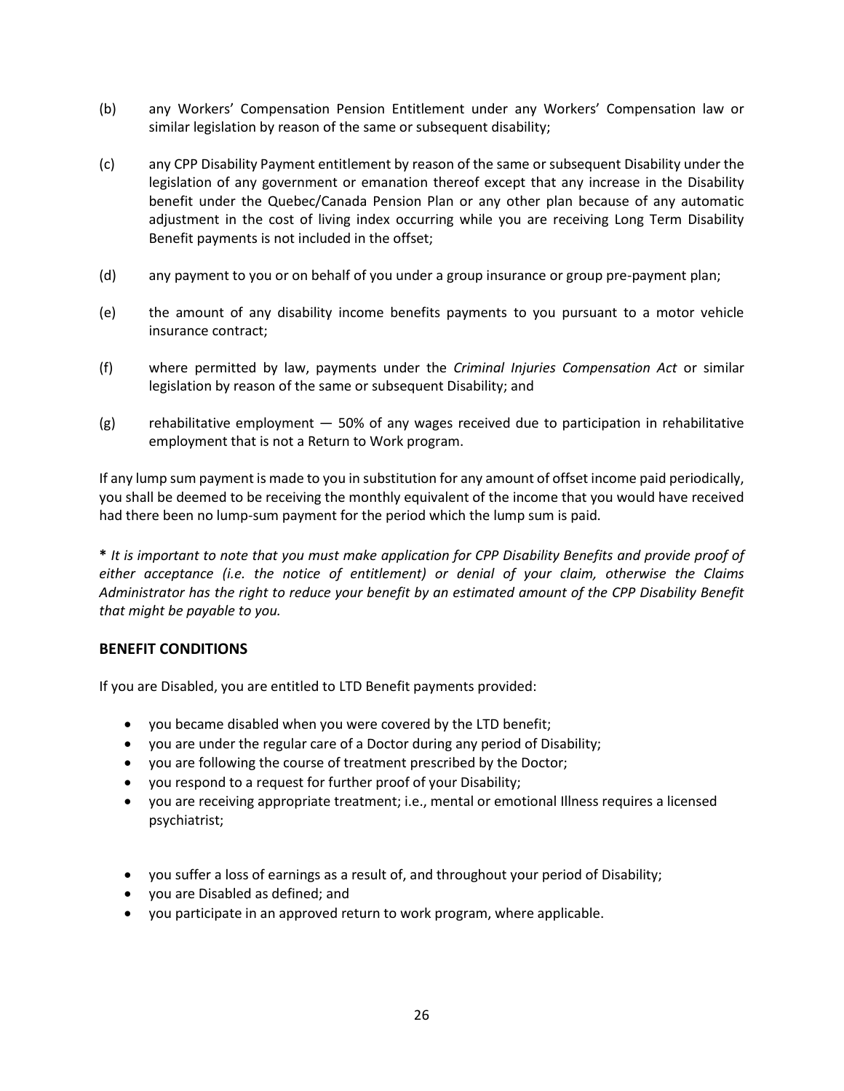- (b) any Workers' Compensation Pension Entitlement under any Workers' Compensation law or similar legislation by reason of the same or subsequent disability;
- (c) any CPP Disability Payment entitlement by reason of the same or subsequent Disability under the legislation of any government or emanation thereof except that any increase in the Disability benefit under the Quebec/Canada Pension Plan or any other plan because of any automatic adjustment in the cost of living index occurring while you are receiving Long Term Disability Benefit payments is not included in the offset;
- (d) any payment to you or on behalf of you under a group insurance or group pre-payment plan;
- (e) the amount of any disability income benefits payments to you pursuant to a motor vehicle insurance contract;
- (f) where permitted by law, payments under the *Criminal Injuries Compensation Act* or similar legislation by reason of the same or subsequent Disability; and
- $(g)$  rehabilitative employment  $-50\%$  of any wages received due to participation in rehabilitative employment that is not a Return to Work program.

If any lump sum payment is made to you in substitution for any amount of offset income paid periodically, you shall be deemed to be receiving the monthly equivalent of the income that you would have received had there been no lump-sum payment for the period which the lump sum is paid.

**\*** *It is important to note that you must make application for CPP Disability Benefits and provide proof of either acceptance (i.e. the notice of entitlement) or denial of your claim, otherwise the Claims Administrator has the right to reduce your benefit by an estimated amount of the CPP Disability Benefit that might be payable to you.*

#### **BENEFIT CONDITIONS**

If you are Disabled, you are entitled to LTD Benefit payments provided:

- you became disabled when you were covered by the LTD benefit;
- you are under the regular care of a Doctor during any period of Disability;
- you are following the course of treatment prescribed by the Doctor;
- you respond to a request for further proof of your Disability;
- you are receiving appropriate treatment; i.e., mental or emotional Illness requires a licensed psychiatrist;
- you suffer a loss of earnings as a result of, and throughout your period of Disability;
- you are Disabled as defined; and
- you participate in an approved return to work program, where applicable.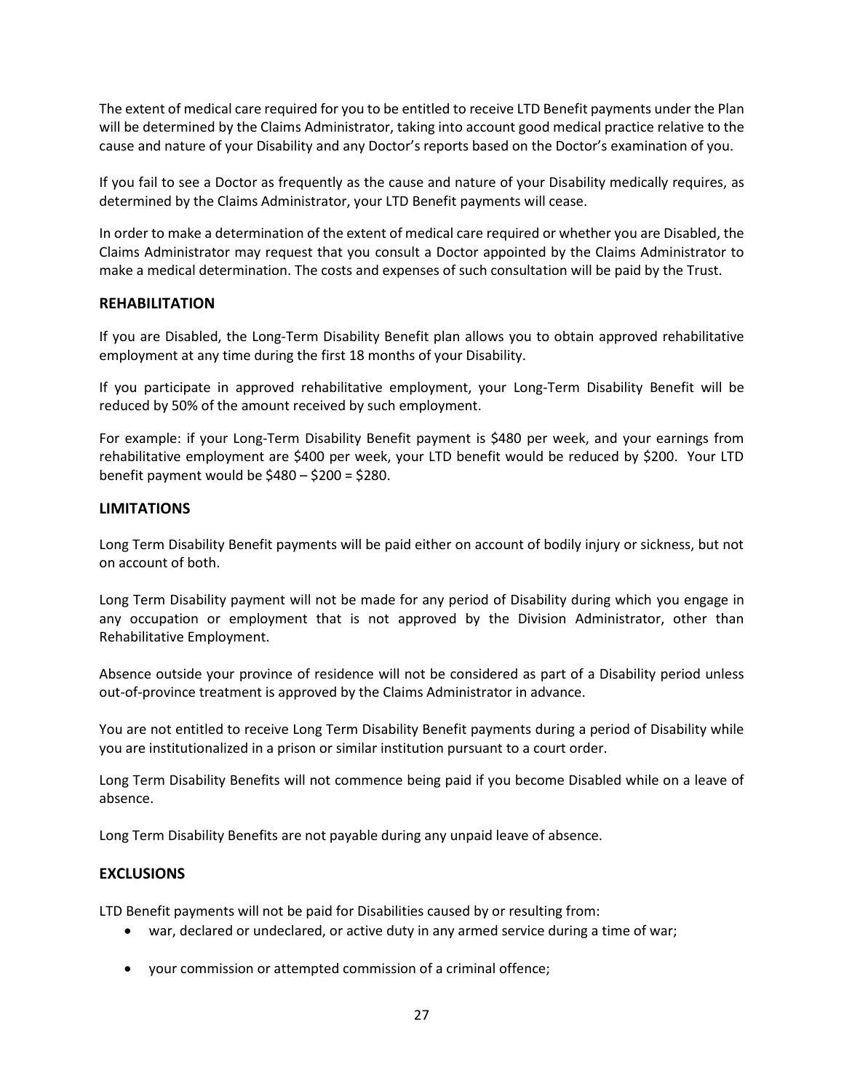The extent of medical care required for you to be entitled to receive LTD Benefit payments under the Plan will be determined by the Claims Administrator, taking into account good medical practice relative to the cause and nature of your Disability and any Doctor's reports based on the Doctor's examination of you.

If you fail to see a Doctor as frequently as the cause and nature of your Disability medically requires, as determined by the Claims Administrator, your LTD Benefit payments will cease.

In order to make a determination of the extent of medical care required or whether you are Disabled, the Claims Administrator may request that you consult a Doctor appointed by the Claims Administrator to make a medical determination. The costs and expenses of such consultation will be paid by the Trust.

### **REHABILITATION**

If you are Disabled, the Long-Term Disability Benefit plan allows you to obtain approved rehabilitative employment at any time during the first 18 months of your Disability.

If you participate in approved rehabilitative employment, your Long-Term Disability Benefit will be reduced by 50% of the amount received by such employment.

For example: if your Long-Term Disability Benefit payment is \$480 per week, and your earnings from rehabilitative employment are \$400 per week, your LTD benefit would be reduced by \$200. Your LTD benefit payment would be \$480 – \$200 = \$280.

#### **LIMITATIONS**

Long Term Disability Benefit payments will be paid either on account of bodily injury or sickness, but not on account of both.

Long Term Disability payment will not be made for any period of Disability during which you engage in any occupation or employment that is not approved by the Division Administrator, other than Rehabilitative Employment.

Absence outside your province of residence will not be considered as part of a Disability period unless out-of-province treatment is approved by the Claims Administrator in advance.

You are not entitled to receive Long Term Disability Benefit payments during a period of Disability while you are institutionalized in a prison or similar institution pursuant to a court order.

Long Term Disability Benefits will not commence being paid if you become Disabled while on a leave of absence.

Long Term Disability Benefits are not payable during any unpaid leave of absence.

#### **EXCLUSIONS**

LTD Benefit payments will not be paid for Disabilities caused by or resulting from:

- war, declared or undeclared, or active duty in any armed service during a time of war;
- your commission or attempted commission of a criminal offence;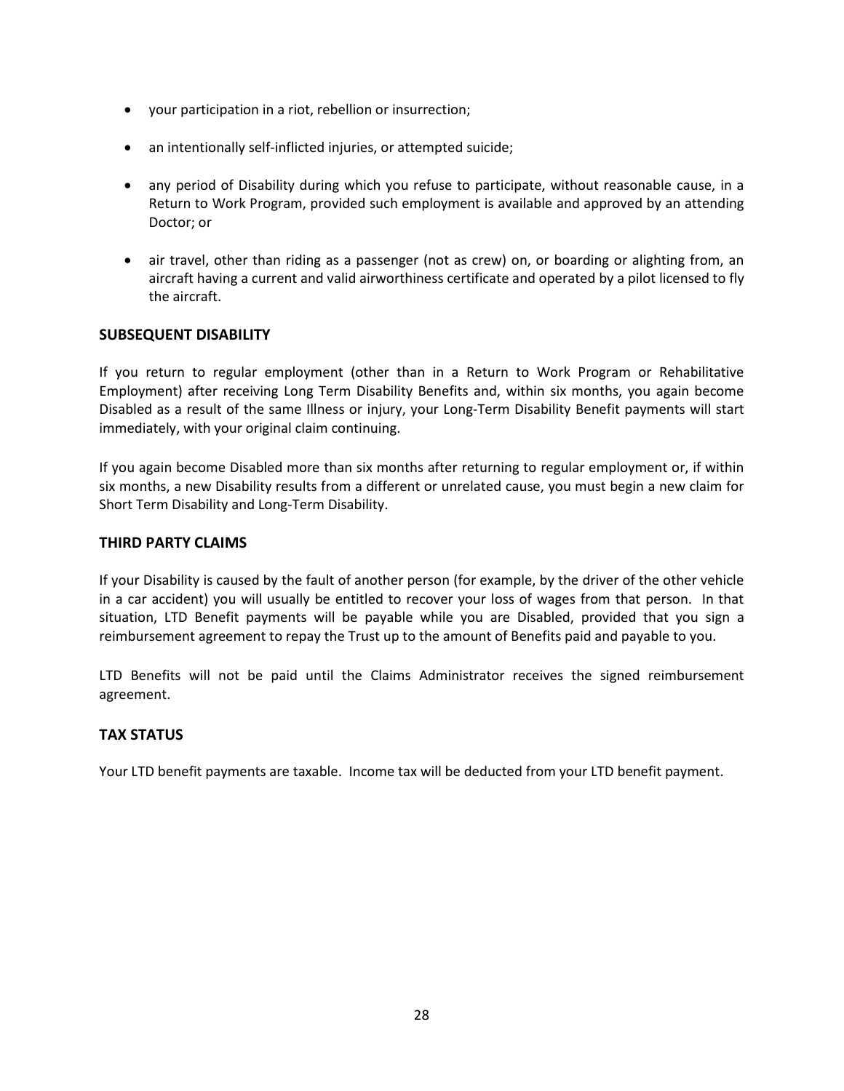- your participation in a riot, rebellion or insurrection;
- an intentionally self-inflicted injuries, or attempted suicide;
- any period of Disability during which you refuse to participate, without reasonable cause, in a Return to Work Program, provided such employment is available and approved by an attending Doctor; or
- air travel, other than riding as a passenger (not as crew) on, or boarding or alighting from, an aircraft having a current and valid airworthiness certificate and operated by a pilot licensed to fly the aircraft.

### **SUBSEQUENT DISABILITY**

If you return to regular employment (other than in a Return to Work Program or Rehabilitative Employment) after receiving Long Term Disability Benefits and, within six months, you again become Disabled as a result of the same Illness or injury, your Long-Term Disability Benefit payments will start immediately, with your original claim continuing.

If you again become Disabled more than six months after returning to regular employment or, if within six months, a new Disability results from a different or unrelated cause, you must begin a new claim for Short Term Disability and Long-Term Disability.

#### **THIRD PARTY CLAIMS**

If your Disability is caused by the fault of another person (for example, by the driver of the other vehicle in a car accident) you will usually be entitled to recover your loss of wages from that person. In that situation, LTD Benefit payments will be payable while you are Disabled, provided that you sign a reimbursement agreement to repay the Trust up to the amount of Benefits paid and payable to you.

LTD Benefits will not be paid until the Claims Administrator receives the signed reimbursement agreement.

# **TAX STATUS**

Your LTD benefit payments are taxable. Income tax will be deducted from your LTD benefit payment.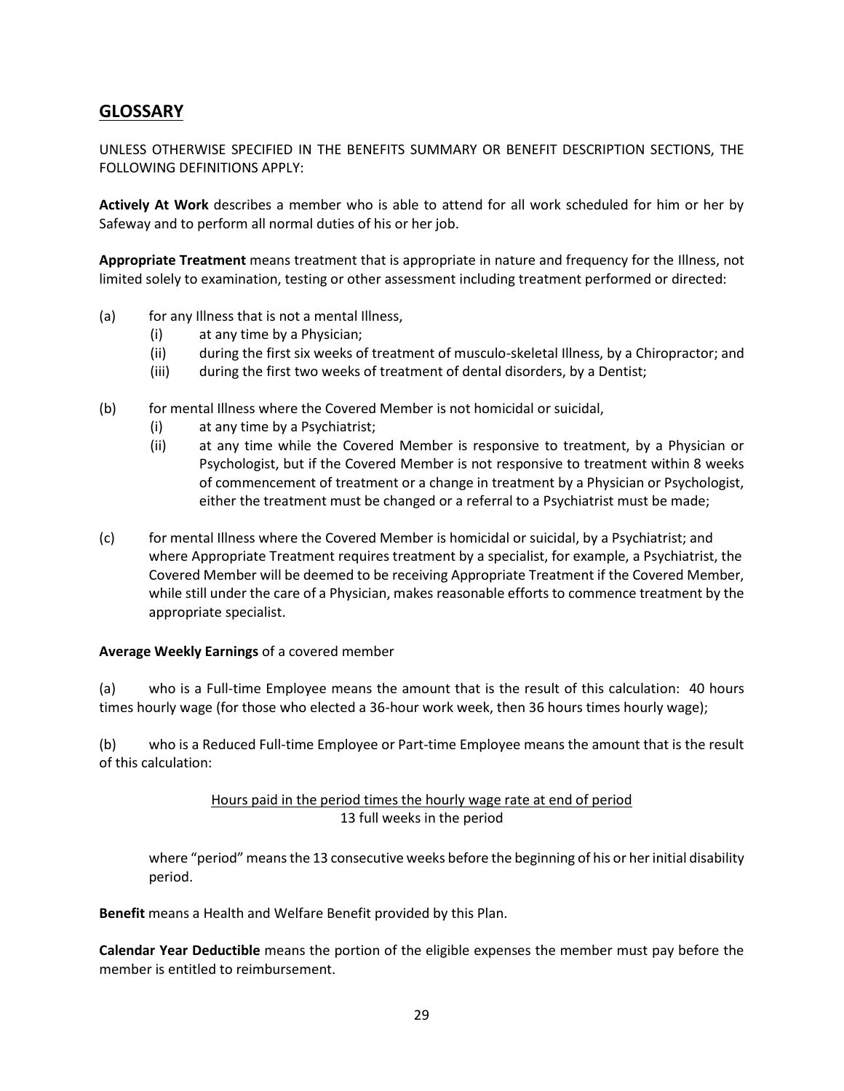# **GLOSSARY**

UNLESS OTHERWISE SPECIFIED IN THE BENEFITS SUMMARY OR BENEFIT DESCRIPTION SECTIONS, THE FOLLOWING DEFINITIONS APPLY:

**Actively At Work** describes a member who is able to attend for all work scheduled for him or her by Safeway and to perform all normal duties of his or her job.

**Appropriate Treatment** means treatment that is appropriate in nature and frequency for the Illness, not limited solely to examination, testing or other assessment including treatment performed or directed:

- (a) for any Illness that is not a mental Illness,
	- (i) at any time by a Physician;
	- (ii) during the first six weeks of treatment of musculo-skeletal Illness, by a Chiropractor; and
	- (iii) during the first two weeks of treatment of dental disorders, by a Dentist;
- (b) for mental Illness where the Covered Member is not homicidal or suicidal,
	- (i) at any time by a Psychiatrist;
	- (ii) at any time while the Covered Member is responsive to treatment, by a Physician or Psychologist, but if the Covered Member is not responsive to treatment within 8 weeks of commencement of treatment or a change in treatment by a Physician or Psychologist, either the treatment must be changed or a referral to a Psychiatrist must be made;
- (c) for mental Illness where the Covered Member is homicidal or suicidal, by a Psychiatrist; and where Appropriate Treatment requires treatment by a specialist, for example, a Psychiatrist, the Covered Member will be deemed to be receiving Appropriate Treatment if the Covered Member, while still under the care of a Physician, makes reasonable efforts to commence treatment by the appropriate specialist.

#### **Average Weekly Earnings** of a covered member

(a) who is a Full-time Employee means the amount that is the result of this calculation: 40 hours times hourly wage (for those who elected a 36-hour work week, then 36 hours times hourly wage);

(b) who is a Reduced Full-time Employee or Part-time Employee means the amount that is the result of this calculation:

# Hours paid in the period times the hourly wage rate at end of period 13 full weeks in the period

where "period" means the 13 consecutive weeks before the beginning of his or her initial disability period.

**Benefit** means a Health and Welfare Benefit provided by this Plan.

**Calendar Year Deductible** means the portion of the eligible expenses the member must pay before the member is entitled to reimbursement.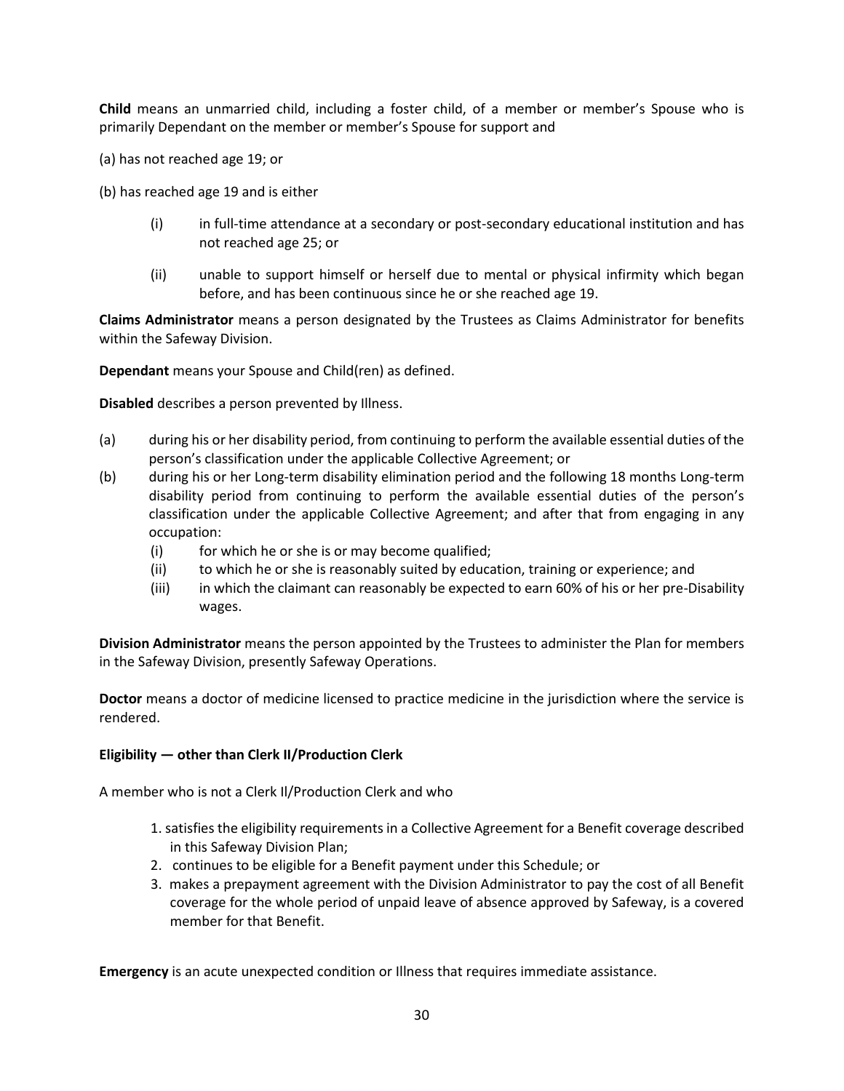**Child** means an unmarried child, including a foster child, of a member or member's Spouse who is primarily Dependant on the member or member's Spouse for support and

(a) has not reached age 19; or

(b) has reached age 19 and is either

- (i) in full-time attendance at a secondary or post-secondary educational institution and has not reached age 25; or
- (ii) unable to support himself or herself due to mental or physical infirmity which began before, and has been continuous since he or she reached age 19.

**Claims Administrator** means a person designated by the Trustees as Claims Administrator for benefits within the Safeway Division.

**Dependant** means your Spouse and Child(ren) as defined.

**Disabled** describes a person prevented by Illness.

- (a) during his or her disability period, from continuing to perform the available essential duties of the person's classification under the applicable Collective Agreement; or
- (b) during his or her Long-term disability elimination period and the following 18 months Long-term disability period from continuing to perform the available essential duties of the person's classification under the applicable Collective Agreement; and after that from engaging in any occupation:
	- (i) for which he or she is or may become qualified;
	- (ii) to which he or she is reasonably suited by education, training or experience; and
	- (iii) in which the claimant can reasonably be expected to earn 60% of his or her pre-Disability wages.

**Division Administrator** means the person appointed by the Trustees to administer the Plan for members in the Safeway Division, presently Safeway Operations.

**Doctor** means a doctor of medicine licensed to practice medicine in the jurisdiction where the service is rendered.

#### **Eligibility — other than Clerk II/Production Clerk**

A member who is not a Clerk Il/Production Clerk and who

- 1. satisfies the eligibility requirements in a Collective Agreement for a Benefit coverage described in this Safeway Division Plan;
- 2. continues to be eligible for a Benefit payment under this Schedule; or
- 3. makes a prepayment agreement with the Division Administrator to pay the cost of all Benefit coverage for the whole period of unpaid leave of absence approved by Safeway, is a covered member for that Benefit.

**Emergency** is an acute unexpected condition or Illness that requires immediate assistance.